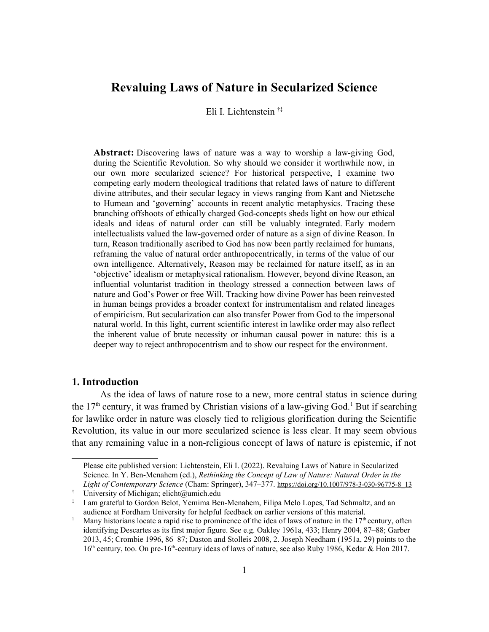# **Revaluing Laws of Nature in Secularized Science**

Eli I. Lichtenstein [†](#page-0-0)[‡](#page-0-1)

**Abstract:** Discovering laws of nature was a way to worship a law-giving God, during the Scientific Revolution. So why should we consider it worthwhile now, in our own more secularized science? For historical perspective, I examine two competing early modern theological traditions that related laws of nature to different divine attributes, and their secular legacy in views ranging from Kant and Nietzsche to Humean and 'governing' accounts in recent analytic metaphysics. Tracing these branching offshoots of ethically charged God-concepts sheds light on how our ethical ideals and ideas of natural order can still be valuably integrated. Early modern intellectualists valued the law-governed order of nature as a sign of divine Reason. In turn, Reason traditionally ascribed to God has now been partly reclaimed for humans, reframing the value of natural order anthropocentrically, in terms of the value of our own intelligence. Alternatively, Reason may be reclaimed for nature itself, as in an 'objective' idealism or metaphysical rationalism. However, beyond divine Reason, an influential voluntarist tradition in theology stressed a connection between laws of nature and God's Power or free Will. Tracking how divine Power has been reinvested in human beings provides a broader context for instrumentalism and related lineages of empiricism. But secularization can also transfer Power from God to the impersonal natural world. In this light, current scientific interest in lawlike order may also reflect the inherent value of brute necessity or inhuman causal power in nature: this is a deeper way to reject anthropocentrism and to show our respect for the environment.

# **1. Introduction**

As the idea of laws of nature rose to a new, more central status in science during the  $17<sup>th</sup>$  $17<sup>th</sup>$  century, it was framed by Christian visions of a law-giving God.<sup>1</sup> But if searching for lawlike order in nature was closely tied to religious glorification during the Scientific Revolution, its value in our more secularized science is less clear. It may seem obvious that any remaining value in a non-religious concept of laws of nature is epistemic, if not

Please cite published version: Lichtenstein, Eli I. (2022). Revaluing Laws of Nature in Secularized Science. In Y. Ben-Menahem (ed.), *Rethinking the Concept of Law of Nature: Natural Order in the Light of Contemporary Science* (Cham: Springer), 347–377. [https://doi.org/10.1007/978-3-030-96775-8\\_13](https://doi.org/10.1007/978-3-030-96775-8_13)

<span id="page-0-0"></span><sup>†</sup> University of Michigan; [elicht@umich.edu](mailto:elicht@umich.edu)

<span id="page-0-1"></span><sup>‡</sup> I am grateful to Gordon Belot, Yemima Ben-Menahem, Filipa Melo Lopes, Tad Schmaltz, and an audience at Fordham University for helpful feedback on earlier versions of this material.

<span id="page-0-2"></span><sup>&</sup>lt;sup>1</sup> Many historians locate a rapid rise to prominence of the idea of laws of nature in the 17<sup>th</sup> century, often identifying Descartes as its first major figure. See e.g. Oakley 1961a, 433; Henry 2004, 87–88; Garber 2013, 45; Crombie 1996, 86–87; Daston and Stolleis 2008, 2. Joseph Needham (1951a, 29) points to the 16<sup>th</sup> century, too. On pre-16<sup>th</sup>-century ideas of laws of nature, see also Ruby 1986, Kedar & Hon 2017.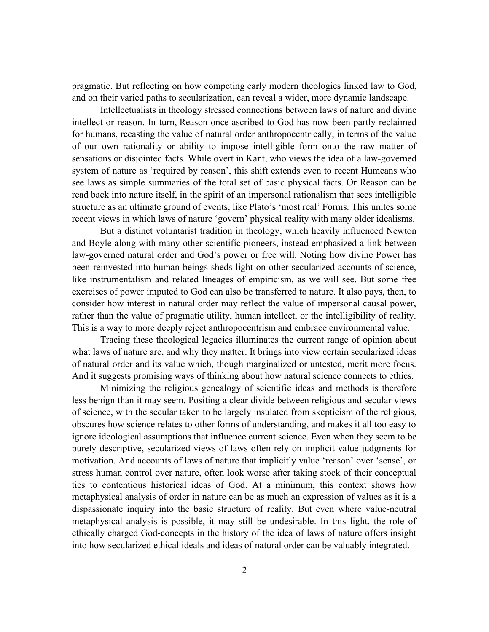pragmatic. But reflecting on how competing early modern theologies linked law to God, and on their varied paths to secularization, can reveal a wider, more dynamic landscape.

Intellectualists in theology stressed connections between laws of nature and divine intellect or reason. In turn, Reason once ascribed to God has now been partly reclaimed for humans, recasting the value of natural order anthropocentrically, in terms of the value of our own rationality or ability to impose intelligible form onto the raw matter of sensations or disjointed facts. While overt in Kant, who views the idea of a law-governed system of nature as 'required by reason', this shift extends even to recent Humeans who see laws as simple summaries of the total set of basic physical facts. Or Reason can be read back into nature itself, in the spirit of an impersonal rationalism that sees intelligible structure as an ultimate ground of events, like Plato's 'most real' Forms. This unites some recent views in which laws of nature 'govern' physical reality with many older idealisms.

But a distinct voluntarist tradition in theology, which heavily influenced Newton and Boyle along with many other scientific pioneers, instead emphasized a link between law-governed natural order and God's power or free will. Noting how divine Power has been reinvested into human beings sheds light on other secularized accounts of science, like instrumentalism and related lineages of empiricism, as we will see. But some free exercises of power imputed to God can also be transferred to nature. It also pays, then, to consider how interest in natural order may reflect the value of impersonal causal power, rather than the value of pragmatic utility, human intellect, or the intelligibility of reality. This is a way to more deeply reject anthropocentrism and embrace environmental value.

Tracing these theological legacies illuminates the current range of opinion about what laws of nature are, and why they matter. It brings into view certain secularized ideas of natural order and its value which, though marginalized or untested, merit more focus. And it suggests promising ways of thinking about how natural science connects to ethics.

Minimizing the religious genealogy of scientific ideas and methods is therefore less benign than it may seem. Positing a clear divide between religious and secular views of science, with the secular taken to be largely insulated from skepticism of the religious, obscures how science relates to other forms of understanding, and makes it all too easy to ignore ideological assumptions that influence current science. Even when they seem to be purely descriptive, secularized views of laws often rely on implicit value judgments for motivation. And accounts of laws of nature that implicitly value 'reason' over 'sense', or stress human control over nature, often look worse after taking stock of their conceptual ties to contentious historical ideas of God. At a minimum, this context shows how metaphysical analysis of order in nature can be as much an expression of values as it is a dispassionate inquiry into the basic structure of reality. But even where value-neutral metaphysical analysis is possible, it may still be undesirable. In this light, the role of ethically charged God-concepts in the history of the idea of laws of nature offers insight into how secularized ethical ideals and ideas of natural order can be valuably integrated.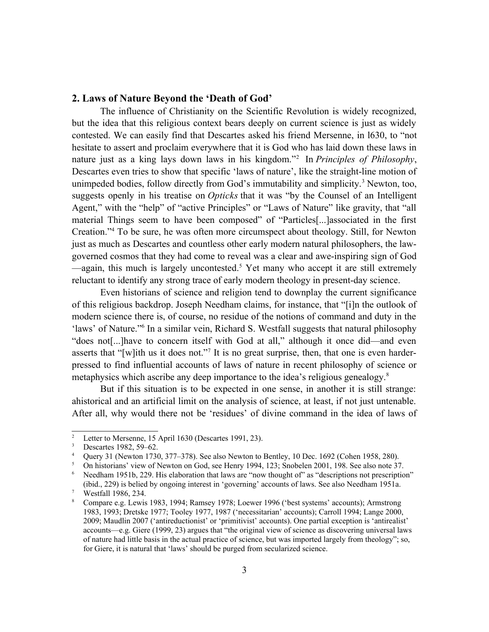## **2. Laws of Nature Beyond the 'Death of God'**

The influence of Christianity on the Scientific Revolution is widely recognized, but the idea that this religious context bears deeply on current science is just as widely contested. We can easily find that Descartes asked his friend Mersenne, in l630, to "not hesitate to assert and proclaim everywhere that it is God who has laid down these laws in nature just as a king lays down laws in his kingdom."[2](#page-2-0) In *Principles of Philosophy*, Descartes even tries to show that specific 'laws of nature', like the straight-line motion of unimpeded bodies, follow directly from God's immutability and simplicity.<sup>[3](#page-2-1)</sup> Newton, too, suggests openly in his treatise on *Opticks* that it was "by the Counsel of an Intelligent Agent," with the "help" of "active Principles" or "Laws of Nature" like gravity, that "all material Things seem to have been composed" of "Particles[...]associated in the first Creation."[4](#page-2-2) To be sure, he was often more circumspect about theology. Still, for Newton just as much as Descartes and countless other early modern natural philosophers, the lawgoverned cosmos that they had come to reveal was a clear and awe-inspiring sign of God —again, this much is largely uncontested.[5](#page-2-3) Yet many who accept it are still extremely reluctant to identify any strong trace of early modern theology in present-day science.

Even historians of science and religion tend to downplay the current significance of this religious backdrop. Joseph Needham claims, for instance, that "[i]n the outlook of modern science there is, of course, no residue of the notions of command and duty in the 'laws' of Nature."<sup>[6](#page-2-4)</sup> In a similar vein, Richard S. Westfall suggests that natural philosophy "does not[...]have to concern itself with God at all," although it once did—and even asserts that "[w]ith us it does not."<sup>[7](#page-2-5)</sup> It is no great surprise, then, that one is even harderpressed to find influential accounts of laws of nature in recent philosophy of science or metaphysics which ascribe any deep importance to the idea's religious genealogy.<sup>[8](#page-2-6)</sup>

But if this situation is to be expected in one sense, in another it is still strange: ahistorical and an artificial limit on the analysis of science, at least, if not just untenable. After all, why would there not be 'residues' of divine command in the idea of laws of

<span id="page-2-0"></span><sup>&</sup>lt;sup>2</sup> Letter to Mersenne, 15 April 1630 (Descartes 1991, 23).<br><sup>3</sup> Descartes 1982, 59-62

<span id="page-2-1"></span> $3 \t\t\t Descartes 1982, 59-62.$ <br> $4 \t\t\t\tOuery 31 (Newton 1736)$ 

<span id="page-2-2"></span>Query 31 (Newton 1730, 377–378). See also Newton to Bentley, 10 Dec. 1692 (Cohen 1958, 280).

<span id="page-2-3"></span><sup>&</sup>lt;sup>5</sup> On historians' view of Newton on God, see Henry 1994, 123; Snobelen 2001, 198. See also note 37.<br><sup>6</sup> Needham 1951b 229. His elaboration that laws are "now thought of" as "descriptions not prescription

<span id="page-2-4"></span>Needham 1951b, 229. His elaboration that laws are "now thought of" as "descriptions not prescription" (ibid., 229) is belied by ongoing interest in 'governing' accounts of laws. See also Needham 1951a.

<span id="page-2-5"></span>Westfall 1986, 234.

<span id="page-2-6"></span><sup>8</sup> Compare e.g. Lewis 1983, 1994; Ramsey 1978; Loewer 1996 ('best systems' accounts); Armstrong 1983, 1993; Dretske 1977; Tooley 1977, 1987 ('necessitarian' accounts); Carroll 1994; Lange 2000, 2009; Maudlin 2007 ('antireductionist' or 'primitivist' accounts). One partial exception is 'antirealist' accounts—e.g. Giere (1999, 23) argues that "the original view of science as discovering universal laws of nature had little basis in the actual practice of science, but was imported largely from theology"; so, for Giere, it is natural that 'laws' should be purged from secularized science.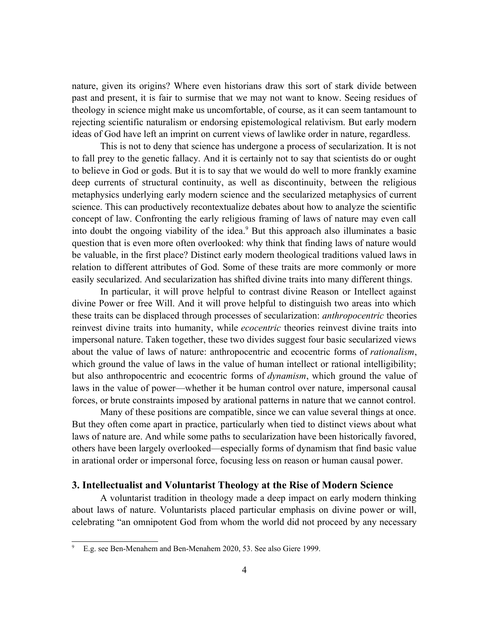nature, given its origins? Where even historians draw this sort of stark divide between past and present, it is fair to surmise that we may not want to know. Seeing residues of theology in science might make us uncomfortable, of course, as it can seem tantamount to rejecting scientific naturalism or endorsing epistemological relativism. But early modern ideas of God have left an imprint on current views of lawlike order in nature, regardless.

This is not to deny that science has undergone a process of secularization. It is not to fall prey to the genetic fallacy. And it is certainly not to say that scientists do or ought to believe in God or gods. But it is to say that we would do well to more frankly examine deep currents of structural continuity, as well as discontinuity, between the religious metaphysics underlying early modern science and the secularized metaphysics of current science. This can productively recontextualize debates about how to analyze the scientific concept of law. Confronting the early religious framing of laws of nature may even call into doubt the ongoing viability of the idea.<sup>[9](#page-3-0)</sup> But this approach also illuminates a basic question that is even more often overlooked: why think that finding laws of nature would be valuable, in the first place? Distinct early modern theological traditions valued laws in relation to different attributes of God. Some of these traits are more commonly or more easily secularized. And secularization has shifted divine traits into many different things.

In particular, it will prove helpful to contrast divine Reason or Intellect against divine Power or free Will. And it will prove helpful to distinguish two areas into which these traits can be displaced through processes of secularization: *anthropocentric* theories reinvest divine traits into humanity, while *ecocentric* theories reinvest divine traits into impersonal nature. Taken together, these two divides suggest four basic secularized views about the value of laws of nature: anthropocentric and ecocentric forms of *rationalism*, which ground the value of laws in the value of human intellect or rational intelligibility; but also anthropocentric and ecocentric forms of *dynamism*, which ground the value of laws in the value of power—whether it be human control over nature, impersonal causal forces, or brute constraints imposed by arational patterns in nature that we cannot control.

Many of these positions are compatible, since we can value several things at once. But they often come apart in practice, particularly when tied to distinct views about what laws of nature are. And while some paths to secularization have been historically favored, others have been largely overlooked—especially forms of dynamism that find basic value in arational order or impersonal force, focusing less on reason or human causal power.

#### **3. Intellectualist and Voluntarist Theology at the Rise of Modern Science**

A voluntarist tradition in theology made a deep impact on early modern thinking about laws of nature. Voluntarists placed particular emphasis on divine power or will, celebrating "an omnipotent God from whom the world did not proceed by any necessary

<span id="page-3-0"></span><sup>&</sup>lt;sup>9</sup> E.g. see Ben-Menahem and Ben-Menahem 2020, 53. See also Giere 1999.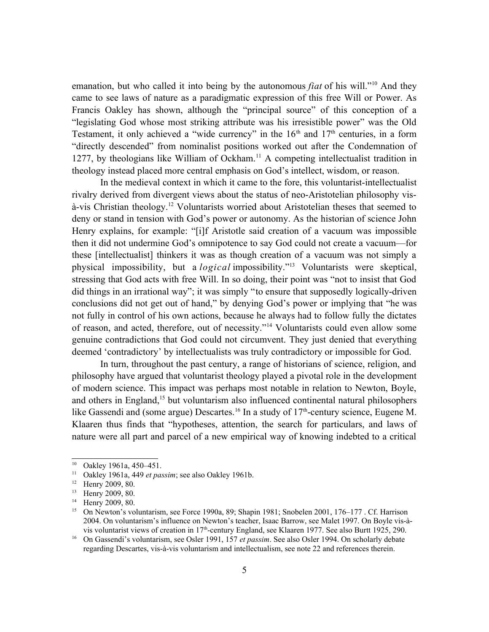emanation, but who called it into being by the autonomous *fiat* of his will."<sup>[10](#page-4-0)</sup> And they came to see laws of nature as a paradigmatic expression of this free Will or Power. As Francis Oakley has shown, although the "principal source" of this conception of a "legislating God whose most striking attribute was his irresistible power" was the Old Testament, it only achieved a "wide currency" in the  $16<sup>th</sup>$  and  $17<sup>th</sup>$  centuries, in a form "directly descended" from nominalist positions worked out after the Condemnation of 1277, by theologians like William of Ockham.<sup>[11](#page-4-1)</sup> A competing intellectualist tradition in theology instead placed more central emphasis on God's intellect, wisdom, or reason.

In the medieval context in which it came to the fore, this voluntarist-intellectualist rivalry derived from divergent views about the status of neo-Aristotelian philosophy visà-vis Christian theology.[12](#page-4-2) Voluntarists worried about Aristotelian theses that seemed to deny or stand in tension with God's power or autonomy. As the historian of science John Henry explains, for example: "[i]f Aristotle said creation of a vacuum was impossible then it did not undermine God's omnipotence to say God could not create a vacuum—for these [intellectualist] thinkers it was as though creation of a vacuum was not simply a physical impossibility, but a *logical* impossibility."[13](#page-4-3) Voluntarists were skeptical, stressing that God acts with free Will. In so doing, their point was "not to insist that God did things in an irrational way"; it was simply "to ensure that supposedly logically-driven conclusions did not get out of hand," by denying God's power or implying that "he was not fully in control of his own actions, because he always had to follow fully the dictates of reason, and acted, therefore, out of necessity."[14](#page-4-4) Voluntarists could even allow some genuine contradictions that God could not circumvent. They just denied that everything deemed 'contradictory' by intellectualists was truly contradictory or impossible for God.

In turn, throughout the past century, a range of historians of science, religion, and philosophy have argued that voluntarist theology played a pivotal role in the development of modern science. This impact was perhaps most notable in relation to Newton, Boyle, and others in England,<sup>[15](#page-4-5)</sup> but voluntarism also influenced continental natural philosophers like Gassendi and (some argue) Descartes.<sup>[16](#page-4-6)</sup> In a study of 17<sup>th</sup>-century science, Eugene M. Klaaren thus finds that "hypotheses, attention, the search for particulars, and laws of nature were all part and parcel of a new empirical way of knowing indebted to a critical

<span id="page-4-0"></span><sup>10</sup> Oakley 1961a, 450–451.

<span id="page-4-1"></span><sup>11</sup> Oakley 1961a, 449 *et passim*; see also Oakley 1961b.

<span id="page-4-2"></span><sup>&</sup>lt;sup>12</sup> Henry 2009, 80.

<span id="page-4-3"></span><sup>&</sup>lt;sup>13</sup> Henry 2009, 80.<br><sup>14</sup> Henry 2009, 80.

<span id="page-4-4"></span>Henry 2009, 80.

<span id="page-4-5"></span><sup>&</sup>lt;sup>15</sup> On Newton's voluntarism, see Force 1990a, 89; Shapin 1981; Snobelen 2001, 176–177 . Cf. Harrison 2004. On voluntarism's influence on Newton's teacher, Isaac Barrow, see Malet 1997. On Boyle vis-àvis voluntarist views of creation in 17th-century England, see Klaaren 1977. See also Burtt 1925, 290.

<span id="page-4-6"></span><sup>16</sup> On Gassendi's voluntarism, see Osler 1991, 157 *et passim*. See also Osler 1994. On scholarly debate regarding Descartes, vis-à-vis voluntarism and intellectualism, see note 22 and references therein.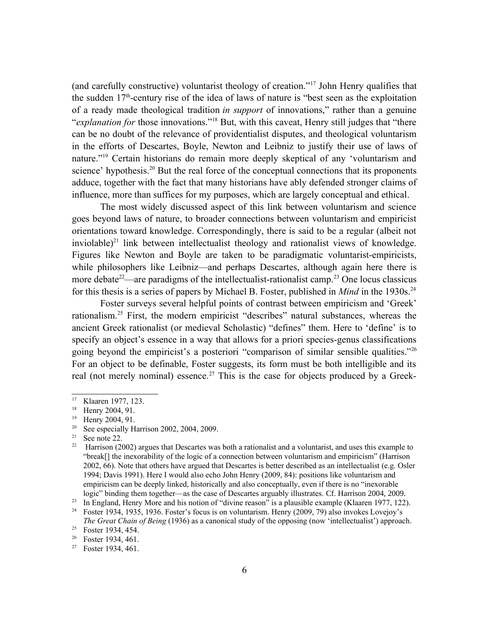(and carefully constructive) voluntarist theology of creation."[17](#page-5-0) John Henry qualifies that the sudden  $17<sup>th</sup>$ -century rise of the idea of laws of nature is "best seen as the exploitation of a ready made theological tradition *in support* of innovations," rather than a genuine "*explanation for* those innovations."[18](#page-5-1) But, with this caveat, Henry still judges that "there can be no doubt of the relevance of providentialist disputes, and theological voluntarism in the efforts of Descartes, Boyle, Newton and Leibniz to justify their use of laws of nature."[19](#page-5-2) Certain historians do remain more deeply skeptical of any 'voluntarism and science' hypothesis.<sup>[20](#page-5-3)</sup> But the real force of the conceptual connections that its proponents adduce, together with the fact that many historians have ably defended stronger claims of influence, more than suffices for my purposes, which are largely conceptual and ethical.

The most widely discussed aspect of this link between voluntarism and science goes beyond laws of nature, to broader connections between voluntarism and empiricist orientations toward knowledge. Correspondingly, there is said to be a regular (albeit not inviolable)<sup>[21](#page-5-4)</sup> link between intellectualist theology and rationalist views of knowledge. Figures like Newton and Boyle are taken to be paradigmatic voluntarist-empiricists, while philosophers like Leibniz—and perhaps Descartes, although again here there is more debate<sup>[22](#page-5-5)</sup>—are paradigms of the intellectualist-rationalist camp.<sup>[23](#page-5-6)</sup> One locus classicus for this thesis is a series of papers by Michael B. Foster, published in *Mind* in the 1930s.<sup>[24](#page-5-7)</sup>

Foster surveys several helpful points of contrast between empiricism and 'Greek' rationalism.[25](#page-5-8) First, the modern empiricist "describes" natural substances, whereas the ancient Greek rationalist (or medieval Scholastic) "defines" them. Here to 'define' is to specify an object's essence in a way that allows for a priori species-genus classifications going beyond the empiricist's a posteriori "comparison of similar sensible qualities."[26](#page-5-9) For an object to be definable, Foster suggests, its form must be both intelligible and its real (not merely nominal) essence.<sup>[27](#page-5-10)</sup> This is the case for objects produced by a Greek-

<span id="page-5-0"></span><sup>&</sup>lt;sup>17</sup> Klaaren 1977, 123.<br><sup>18</sup> Henry 2004, 91

<span id="page-5-1"></span>Henry 2004, 91.

<span id="page-5-2"></span><sup>19</sup> Henry 2004, 91.

<span id="page-5-3"></span><sup>&</sup>lt;sup>20</sup> See especially Harrison 2002, 2004, 2009.<br><sup>21</sup> See note 22

<span id="page-5-4"></span>See note 22.

<span id="page-5-5"></span><sup>&</sup>lt;sup>22</sup> Harrison (2002) argues that Descartes was both a rationalist and a voluntarist, and uses this example to "break[] the inexorability of the logic of a connection between voluntarism and empiricism" (Harrison 2002, 66). Note that others have argued that Descartes is better described as an intellectualist (e.g. Osler 1994; Davis 1991). Here I would also echo John Henry (2009, 84): positions like voluntarism and empiricism can be deeply linked, historically and also conceptually, even if there is no "inexorable logic" binding them together—as the case of Descartes arguably illustrates. Cf. Harrison 2004, 2009.

<span id="page-5-6"></span><sup>23</sup> In England, Henry More and his notion of "divine reason" is a plausible example (Klaaren 1977, 122).

<span id="page-5-7"></span><sup>&</sup>lt;sup>24</sup> Foster 1934, 1935, 1936. Foster's focus is on voluntarism. Henry (2009, 79) also invokes Lovejoy's *The Great Chain of Being* (1936) as a canonical study of the opposing (now 'intellectualist') approach.

<span id="page-5-8"></span><sup>&</sup>lt;sup>25</sup> Foster 1934, 454.

<span id="page-5-9"></span><sup>26</sup> Foster 1934, 461.

<span id="page-5-10"></span><sup>27</sup> Foster 1934, 461.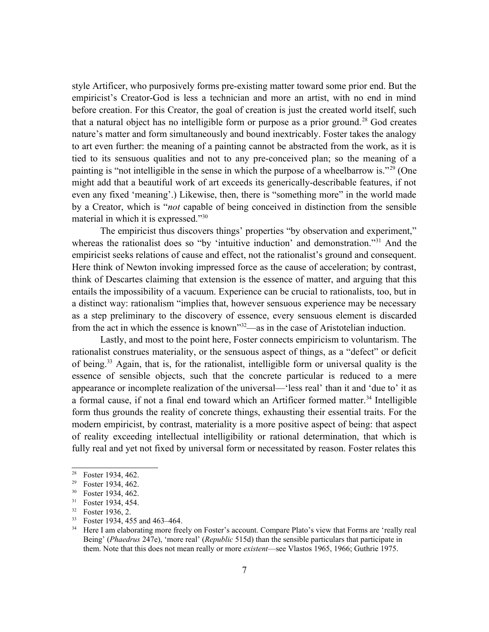style Artificer, who purposively forms pre-existing matter toward some prior end. But the empiricist's Creator-God is less a technician and more an artist, with no end in mind before creation. For this Creator, the goal of creation is just the created world itself, such that a natural object has no intelligible form or purpose as a prior ground.<sup>[28](#page-6-0)</sup> God creates nature's matter and form simultaneously and bound inextricably. Foster takes the analogy to art even further: the meaning of a painting cannot be abstracted from the work, as it is tied to its sensuous qualities and not to any pre-conceived plan; so the meaning of a painting is "not intelligible in the sense in which the purpose of a wheelbarrow is."[29](#page-6-1) (One might add that a beautiful work of art exceeds its generically-describable features, if not even any fixed 'meaning'.) Likewise, then, there is "something more" in the world made by a Creator, which is "*not* capable of being conceived in distinction from the sensible material in which it is expressed."[30](#page-6-2)

The empiricist thus discovers things' properties "by observation and experiment," whereas the rationalist does so "by 'intuitive induction' and demonstration."<sup>[31](#page-6-3)</sup> And the empiricist seeks relations of cause and effect, not the rationalist's ground and consequent. Here think of Newton invoking impressed force as the cause of acceleration; by contrast, think of Descartes claiming that extension is the essence of matter, and arguing that this entails the impossibility of a vacuum. Experience can be crucial to rationalists, too, but in a distinct way: rationalism "implies that, however sensuous experience may be necessary as a step preliminary to the discovery of essence, every sensuous element is discarded from the act in which the essence is known"[32](#page-6-4)—as in the case of Aristotelian induction.

Lastly, and most to the point here, Foster connects empiricism to voluntarism. The rationalist construes materiality, or the sensuous aspect of things, as a "defect" or deficit of being.[33](#page-6-5) Again, that is, for the rationalist, intelligible form or universal quality is the essence of sensible objects, such that the concrete particular is reduced to a mere appearance or incomplete realization of the universal—'less real' than it and 'due to' it as a formal cause, if not a final end toward which an Artificer formed matter.<sup>[34](#page-6-6)</sup> Intelligible form thus grounds the reality of concrete things, exhausting their essential traits. For the modern empiricist, by contrast, materiality is a more positive aspect of being: that aspect of reality exceeding intellectual intelligibility or rational determination, that which is fully real and yet not fixed by universal form or necessitated by reason. Foster relates this

<span id="page-6-0"></span><sup>28</sup> Foster 1934, 462.

<span id="page-6-1"></span><sup>29</sup> Foster 1934, 462.

<span id="page-6-2"></span> $30$  Foster 1934, 462.<br> $31$  Foster 1934 454

<span id="page-6-3"></span>Foster 1934, 454.

<span id="page-6-4"></span><sup>32</sup> Foster 1936, 2.

<span id="page-6-5"></span><sup>33</sup> Foster 1934, 455 and 463–464.

<span id="page-6-6"></span><sup>&</sup>lt;sup>34</sup> Here I am elaborating more freely on Foster's account. Compare Plato's view that Forms are 'really real Being' (*Phaedrus* 247e), 'more real' (*Republic* 515d) than the sensible particulars that participate in them. Note that this does not mean really or more *existent*—see Vlastos 1965, 1966; Guthrie 1975.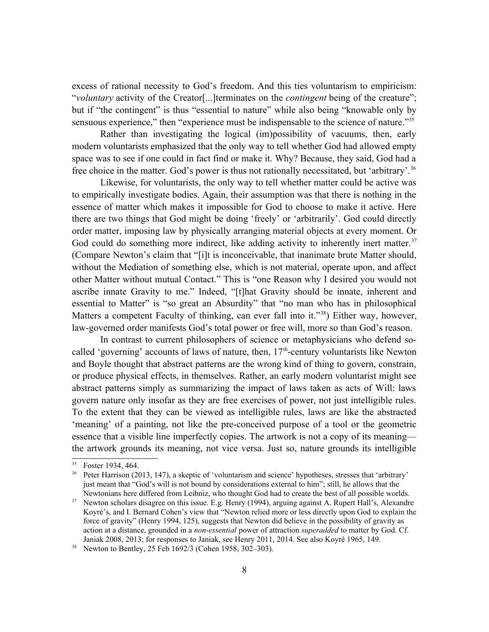excess of rational necessity to God's freedom. And this ties voluntarism to empiricism: "*voluntary* activity of the Creator[...]terminates on the *contingent* being of the creature"; but if "the contingent" is thus "essential to nature" while also being "knowable only by sensuous experience," then "experience must be indispensable to the science of nature."<sup>[35](#page-7-0)</sup>

Rather than investigating the logical (im)possibility of vacuums, then, early modern voluntarists emphasized that the only way to tell whether God had allowed empty space was to see if one could in fact find or make it. Why? Because, they said, God had a free choice in the matter. God's power is thus not rationally necessitated, but 'arbitrary'.<sup>[36](#page-7-1)</sup>

Likewise, for voluntarists, the only way to tell whether matter could be active was to empirically investigate bodies. Again, their assumption was that there is nothing in the essence of matter which makes it impossible for God to choose to make it active. Here there are two things that God might be doing 'freely' or 'arbitrarily'. God could directly order matter, imposing law by physically arranging material objects at every moment. Or God could do something more indirect, like adding activity to inherently inert matter.<sup>[37](#page-7-2)</sup> (Compare Newton's claim that "[i]t is inconceivable, that inanimate brute Matter should, without the Mediation of something else, which is not material, operate upon, and affect other Matter without mutual Contact." This is "one Reason why I desired you would not ascribe innate Gravity to me." Indeed, "[t]hat Gravity should be innate, inherent and essential to Matter" is "so great an Absurdity" that "no man who has in philosophical Matters a competent Faculty of thinking, can ever fall into it."<sup>[38](#page-7-3)</sup>) Either way, however, law-governed order manifests God's total power or free will, more so than God's reason.

In contrast to current philosophers of science or metaphysicians who defend socalled 'governing' accounts of laws of nature, then,  $17<sup>th</sup>$ -century voluntarists like Newton and Boyle thought that abstract patterns are the wrong kind of thing to govern, constrain, or produce physical effects, in themselves. Rather, an early modern voluntarist might see abstract patterns simply as summarizing the impact of laws taken as acts of Will: laws govern nature only insofar as they are free exercises of power, not just intelligible rules. To the extent that they can be viewed as intelligible rules, laws are like the abstracted 'meaning' of a painting, not like the pre-conceived purpose of a tool or the geometric essence that a visible line imperfectly copies. The artwork is not a copy of its meaning the artwork grounds its meaning, not vice versa. Just so, nature grounds its intelligible

<span id="page-7-0"></span><sup>35</sup> Foster 1934, 464.

<span id="page-7-1"></span><sup>&</sup>lt;sup>36</sup> Peter Harrison (2013, 147), a skeptic of 'voluntarism and science' hypotheses, stresses that 'arbitrary' just meant that "God's will is not bound by considerations external to him"; still, he allows that the Newtonians here differed from Leibniz, who thought God had to create the best of all possible worlds.

<span id="page-7-2"></span>Newton scholars disagree on this issue. E.g. Henry (1994), arguing against A. Rupert Hall's, Alexandre Koyré's, and I. Bernard Cohen's view that "Newton relied more or less directly upon God to explain the force of gravity" (Henry 1994, 125), suggests that Newton did believe in the possibility of gravity as action at a distance, grounded in a *non-essential* power of attraction *superadded* to matter by God. Cf. Janiak 2008, 2013; for responses to Janiak, see Henry 2011, 2014. See also Koyré 1965, 149.

<span id="page-7-3"></span><sup>38</sup> Newton to Bentley, 25 Feb 1692/3 (Cohen 1958, 302–303).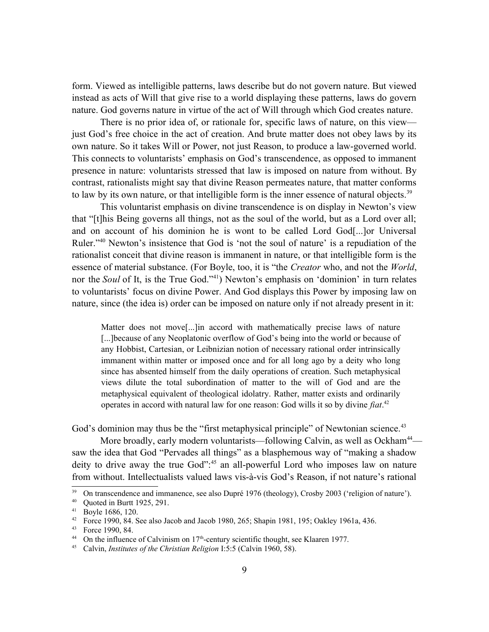form. Viewed as intelligible patterns, laws describe but do not govern nature. But viewed instead as acts of Will that give rise to a world displaying these patterns, laws do govern nature. God governs nature in virtue of the act of Will through which God creates nature.

There is no prior idea of, or rationale for, specific laws of nature, on this view just God's free choice in the act of creation. And brute matter does not obey laws by its own nature. So it takes Will or Power, not just Reason, to produce a law-governed world. This connects to voluntarists' emphasis on God's transcendence, as opposed to immanent presence in nature: voluntarists stressed that law is imposed on nature from without. By contrast, rationalists might say that divine Reason permeates nature, that matter conforms to law by its own nature, or that intelligible form is the inner essence of natural objects.<sup>[39](#page-8-0)</sup>

This voluntarist emphasis on divine transcendence is on display in Newton's view that "[t]his Being governs all things, not as the soul of the world, but as a Lord over all; and on account of his dominion he is wont to be called Lord God[...]or Universal Ruler."[40](#page-8-1) Newton's insistence that God is 'not the soul of nature' is a repudiation of the rationalist conceit that divine reason is immanent in nature, or that intelligible form is the essence of material substance. (For Boyle, too, it is "the *Creator* who, and not the *World*, nor the *Soul* of It, is the True God."<sup>[41](#page-8-2)</sup>) Newton's emphasis on 'dominion' in turn relates to voluntarists' focus on divine Power. And God displays this Power by imposing law on nature, since (the idea is) order can be imposed on nature only if not already present in it:

Matter does not move[...]in accord with mathematically precise laws of nature [...]because of any Neoplatonic overflow of God's being into the world or because of any Hobbist, Cartesian, or Leibnizian notion of necessary rational order intrinsically immanent within matter or imposed once and for all long ago by a deity who long since has absented himself from the daily operations of creation. Such metaphysical views dilute the total subordination of matter to the will of God and are the metaphysical equivalent of theological idolatry. Rather, matter exists and ordinarily operates in accord with natural law for one reason: God wills it so by divine *fiat*. [42](#page-8-3)

God's dominion may thus be the "first metaphysical principle" of Newtonian science.<sup>[43](#page-8-4)</sup>

More broadly, early modern voluntarists—following Calvin, as well as Ockham<sup>[44](#page-8-5)</sup> saw the idea that God "Pervades all things" as a blasphemous way of "making a shadow deity to drive away the true God":<sup>[45](#page-8-6)</sup> an all-powerful Lord who imposes law on nature from without. Intellectualists valued laws vis-à-vis God's Reason, if not nature's rational

<span id="page-8-0"></span><sup>&</sup>lt;sup>39</sup> On transcendence and immanence, see also Dupré 1976 (theology), Crosby 2003 ('religion of nature').<br><sup>40</sup> Ouoted in Burtt 1925, 291

<span id="page-8-1"></span>Quoted in Burtt 1925, 291.

<span id="page-8-2"></span><sup>41</sup> Boyle 1686, 120.

<span id="page-8-3"></span><sup>42</sup> Force 1990, 84. See also Jacob and Jacob 1980, 265; Shapin 1981, 195; Oakley 1961a, 436.

<span id="page-8-4"></span><sup>&</sup>lt;sup>43</sup> Force 1990, 84.

<span id="page-8-5"></span>On the influence of Calvinism on  $17<sup>th</sup>$ -century scientific thought, see Klaaren 1977.

<span id="page-8-6"></span><sup>45</sup> Calvin, *Institutes of the Christian Religion* I:5:5 (Calvin 1960, 58).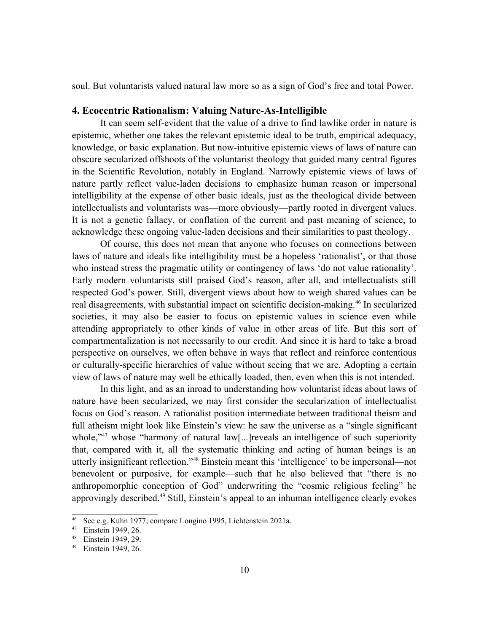soul. But voluntarists valued natural law more so as a sign of God's free and total Power.

## **4. Ecocentric Rationalism: Valuing Nature-As-Intelligible**

It can seem self-evident that the value of a drive to find lawlike order in nature is epistemic, whether one takes the relevant epistemic ideal to be truth, empirical adequacy, knowledge, or basic explanation. But now-intuitive epistemic views of laws of nature can obscure secularized offshoots of the voluntarist theology that guided many central figures in the Scientific Revolution, notably in England. Narrowly epistemic views of laws of nature partly reflect value-laden decisions to emphasize human reason or impersonal intelligibility at the expense of other basic ideals, just as the theological divide between intellectualists and voluntarists was—more obviously—partly rooted in divergent values. It is not a genetic fallacy, or conflation of the current and past meaning of science, to acknowledge these ongoing value-laden decisions and their similarities to past theology.

Of course, this does not mean that anyone who focuses on connections between laws of nature and ideals like intelligibility must be a hopeless 'rationalist', or that those who instead stress the pragmatic utility or contingency of laws 'do not value rationality'. Early modern voluntarists still praised God's reason, after all, and intellectualists still respected God's power. Still, divergent views about how to weigh shared values can be real disagreements, with substantial impact on scientific decision-making.<sup>[46](#page-9-0)</sup> In secularized societies, it may also be easier to focus on epistemic values in science even while attending appropriately to other kinds of value in other areas of life. But this sort of compartmentalization is not necessarily to our credit. And since it is hard to take a broad perspective on ourselves, we often behave in ways that reflect and reinforce contentious or culturally-specific hierarchies of value without seeing that we are. Adopting a certain view of laws of nature may well be ethically loaded, then, even when this is not intended.

In this light, and as an inroad to understanding how voluntarist ideas about laws of nature have been secularized, we may first consider the secularization of intellectualist focus on God's reason. A rationalist position intermediate between traditional theism and full atheism might look like Einstein's view: he saw the universe as a "single significant whole,"<sup>[47](#page-9-1)</sup> whose "harmony of natural law[...] reveals an intelligence of such superiority that, compared with it, all the systematic thinking and acting of human beings is an utterly insignificant reflection."[48](#page-9-2) Einstein meant this 'intelligence' to be impersonal—not benevolent or purposive, for example—such that he also believed that "there is no anthropomorphic conception of God" underwriting the "cosmic religious feeling" he approvingly described.[49](#page-9-3) Still, Einstein's appeal to an inhuman intelligence clearly evokes

<span id="page-9-0"></span>See e.g. Kuhn 1977; compare Longino 1995, Lichtenstein 2021a.

<span id="page-9-1"></span><sup>47</sup> Einstein 1949, 26.

<span id="page-9-2"></span><sup>48</sup> Einstein 1949, 29.

<span id="page-9-3"></span>Einstein 1949, 26.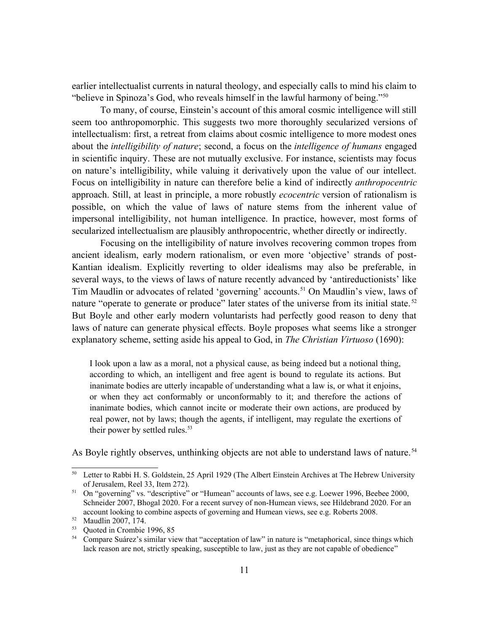earlier intellectualist currents in natural theology, and especially calls to mind his claim to "believe in Spinoza's God, who reveals himself in the lawful harmony of being."[50](#page-10-0)

To many, of course, Einstein's account of this amoral cosmic intelligence will still seem too anthropomorphic. This suggests two more thoroughly secularized versions of intellectualism: first, a retreat from claims about cosmic intelligence to more modest ones about the *intelligibility of nature*; second, a focus on the *intelligence of humans* engaged in scientific inquiry. These are not mutually exclusive. For instance, scientists may focus on nature's intelligibility, while valuing it derivatively upon the value of our intellect. Focus on intelligibility in nature can therefore belie a kind of indirectly *anthropocentric* approach. Still, at least in principle, a more robustly *ecocentric* version of rationalism is possible, on which the value of laws of nature stems from the inherent value of impersonal intelligibility, not human intelligence. In practice, however, most forms of secularized intellectualism are plausibly anthropocentric, whether directly or indirectly.

Focusing on the intelligibility of nature involves recovering common tropes from ancient idealism, early modern rationalism, or even more 'objective' strands of post-Kantian idealism. Explicitly reverting to older idealisms may also be preferable, in several ways, to the views of laws of nature recently advanced by 'antireductionists' like Tim Maudlin or advocates of related 'governing' accounts.<sup>[51](#page-10-1)</sup> On Maudlin's view, laws of nature "operate to generate or produce" later states of the universe from its initial state.<sup>[52](#page-10-2)</sup> But Boyle and other early modern voluntarists had perfectly good reason to deny that laws of nature can generate physical effects. Boyle proposes what seems like a stronger explanatory scheme, setting aside his appeal to God, in *The Christian Virtuoso* (1690):

I look upon a law as a moral, not a physical cause, as being indeed but a notional thing, according to which, an intelligent and free agent is bound to regulate its actions. But inanimate bodies are utterly incapable of understanding what a law is, or what it enjoins, or when they act conformably or unconformably to it; and therefore the actions of inanimate bodies, which cannot incite or moderate their own actions, are produced by real power, not by laws; though the agents, if intelligent, may regulate the exertions of their power by settled rules. $53$ 

As Boyle rightly observes, unthinking objects are not able to understand laws of nature.<sup>[54](#page-10-4)</sup>

<span id="page-10-0"></span><sup>&</sup>lt;sup>50</sup> Letter to Rabbi H. S. Goldstein, 25 April 1929 (The Albert Einstein Archives at The Hebrew University of Jerusalem, Reel 33, Item 272).

<span id="page-10-1"></span><sup>&</sup>lt;sup>51</sup> On "governing" vs. "descriptive" or "Humean" accounts of laws, see e.g. Loewer 1996, Beebee 2000, Schneider 2007, Bhogal 2020. For a recent survey of non-Humean views, see Hildebrand 2020. For an account looking to combine aspects of governing and Humean views, see e.g. Roberts 2008.

<span id="page-10-2"></span><sup>52</sup> Maudlin 2007, 174.

<span id="page-10-3"></span><sup>53</sup> Quoted in Crombie 1996, 85

<span id="page-10-4"></span><sup>&</sup>lt;sup>54</sup> Compare Suárez's similar view that "acceptation of law" in nature is "metaphorical, since things which lack reason are not, strictly speaking, susceptible to law, just as they are not capable of obedience"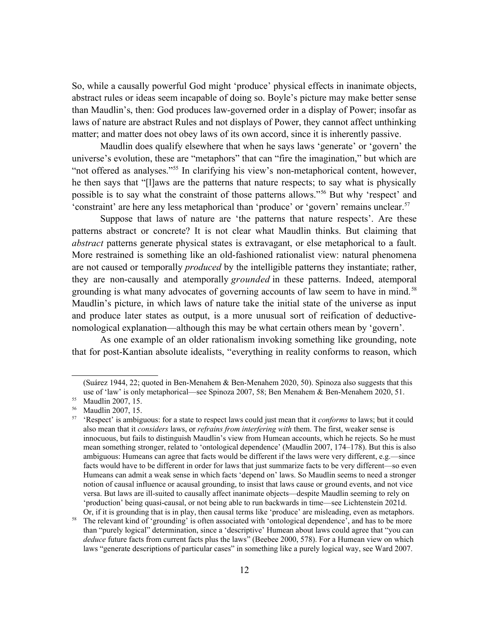So, while a causally powerful God might 'produce' physical effects in inanimate objects, abstract rules or ideas seem incapable of doing so. Boyle's picture may make better sense than Maudlin's, then: God produces law-governed order in a display of Power; insofar as laws of nature are abstract Rules and not displays of Power, they cannot affect unthinking matter; and matter does not obey laws of its own accord, since it is inherently passive.

Maudlin does qualify elsewhere that when he says laws 'generate' or 'govern' the universe's evolution, these are "metaphors" that can "fire the imagination," but which are "not offered as analyses."<sup>[55](#page-11-0)</sup> In clarifying his view's non-metaphorical content, however, he then says that "[l]aws are the patterns that nature respects; to say what is physically possible is to say what the constraint of those patterns allows."[56](#page-11-1) But why 'respect' and 'constraint' are here any less metaphorical than 'produce' or 'govern' remains unclear.[57](#page-11-2)

Suppose that laws of nature are 'the patterns that nature respects'. Are these patterns abstract or concrete? It is not clear what Maudlin thinks. But claiming that *abstract* patterns generate physical states is extravagant, or else metaphorical to a fault. More restrained is something like an old-fashioned rationalist view: natural phenomena are not caused or temporally *produced* by the intelligible patterns they instantiate; rather, they are non-causally and atemporally *grounded* in these patterns. Indeed, atemporal grounding is what many advocates of governing accounts of law seem to have in mind.<sup>[58](#page-11-3)</sup> Maudlin's picture, in which laws of nature take the initial state of the universe as input and produce later states as output, is a more unusual sort of reification of deductivenomological explanation—although this may be what certain others mean by 'govern'.

As one example of an older rationalism invoking something like grounding, note that for post-Kantian absolute idealists, "everything in reality conforms to reason, which

<sup>(</sup>Suárez 1944, 22; quoted in Ben-Menahem & Ben-Menahem 2020, 50). Spinoza also suggests that this use of 'law' is only metaphorical—see Spinoza 2007, 58; Ben Menahem & Ben-Menahem 2020, 51.

<span id="page-11-0"></span><sup>55</sup> Maudlin 2007, 15.

<span id="page-11-1"></span><sup>56</sup> Maudlin 2007, 15.

<span id="page-11-2"></span><sup>57</sup> 'Respect' is ambiguous: for a state to respect laws could just mean that it *conforms* to laws; but it could also mean that it *considers* laws, or *refrains from interfering with* them. The first, weaker sense is innocuous, but fails to distinguish Maudlin's view from Humean accounts, which he rejects. So he must mean something stronger, related to 'ontological dependence' (Maudlin 2007, 174–178). But this is also ambiguous: Humeans can agree that facts would be different if the laws were very different, e.g.—since facts would have to be different in order for laws that just summarize facts to be very different—so even Humeans can admit a weak sense in which facts 'depend on' laws. So Maudlin seems to need a stronger notion of causal influence or acausal grounding, to insist that laws cause or ground events, and not vice versa. But laws are ill-suited to causally affect inanimate objects—despite Maudlin seeming to rely on 'production' being quasi-causal, or not being able to run backwards in time—see Lichtenstein 2021d. Or, if it is grounding that is in play, then causal terms like 'produce' are misleading, even as metaphors.

<span id="page-11-3"></span><sup>&</sup>lt;sup>58</sup> The relevant kind of 'grounding' is often associated with 'ontological dependence', and has to be more than "purely logical" determination, since a 'descriptive' Humean about laws could agree that "you can *deduce* future facts from current facts plus the laws" (Beebee 2000, 578). For a Humean view on which laws "generate descriptions of particular cases" in something like a purely logical way, see Ward 2007.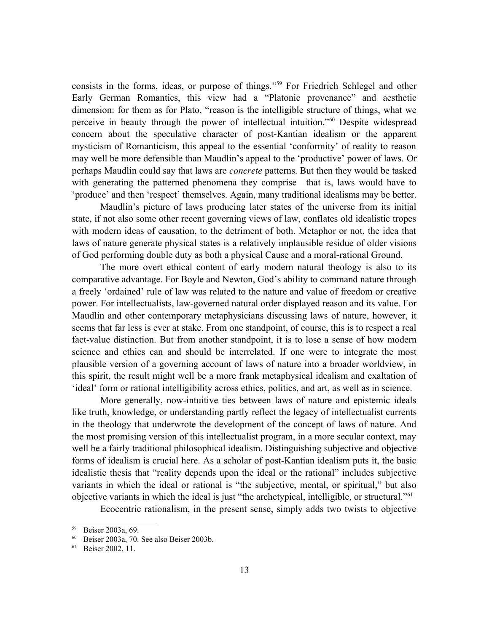consists in the forms, ideas, or purpose of things." [59](#page-12-0) For Friedrich Schlegel and other Early German Romantics, this view had a "Platonic provenance" and aesthetic dimension: for them as for Plato, "reason is the intelligible structure of things, what we perceive in beauty through the power of intellectual intuition."[60](#page-12-1) Despite widespread concern about the speculative character of post-Kantian idealism or the apparent mysticism of Romanticism, this appeal to the essential 'conformity' of reality to reason may well be more defensible than Maudlin's appeal to the 'productive' power of laws. Or perhaps Maudlin could say that laws are *concrete* patterns. But then they would be tasked with generating the patterned phenomena they comprise—that is, laws would have to 'produce' and then 'respect' themselves. Again, many traditional idealisms may be better.

Maudlin's picture of laws producing later states of the universe from its initial state, if not also some other recent governing views of law, conflates old idealistic tropes with modern ideas of causation, to the detriment of both. Metaphor or not, the idea that laws of nature generate physical states is a relatively implausible residue of older visions of God performing double duty as both a physical Cause and a moral-rational Ground.

The more overt ethical content of early modern natural theology is also to its comparative advantage. For Boyle and Newton, God's ability to command nature through a freely 'ordained' rule of law was related to the nature and value of freedom or creative power. For intellectualists, law-governed natural order displayed reason and its value. For Maudlin and other contemporary metaphysicians discussing laws of nature, however, it seems that far less is ever at stake. From one standpoint, of course, this is to respect a real fact-value distinction. But from another standpoint, it is to lose a sense of how modern science and ethics can and should be interrelated. If one were to integrate the most plausible version of a governing account of laws of nature into a broader worldview, in this spirit, the result might well be a more frank metaphysical idealism and exaltation of 'ideal' form or rational intelligibility across ethics, politics, and art, as well as in science.

More generally, now-intuitive ties between laws of nature and epistemic ideals like truth, knowledge, or understanding partly reflect the legacy of intellectualist currents in the theology that underwrote the development of the concept of laws of nature. And the most promising version of this intellectualist program, in a more secular context, may well be a fairly traditional philosophical idealism. Distinguishing subjective and objective forms of idealism is crucial here. As a scholar of post-Kantian idealism puts it, the basic idealistic thesis that "reality depends upon the ideal or the rational" includes subjective variants in which the ideal or rational is "the subjective, mental, or spiritual," but also objective variants in which the ideal is just "the archetypical, intelligible, or structural."[61](#page-12-2)

Ecocentric rationalism, in the present sense, simply adds two twists to objective

<span id="page-12-0"></span> $59$  Beiser 2003a, 69.<br>  $60$  Beiser 2003a, 70

<span id="page-12-1"></span><sup>60</sup> Beiser 2003a, 70. See also Beiser 2003b.

<span id="page-12-2"></span>Beiser 2002, 11.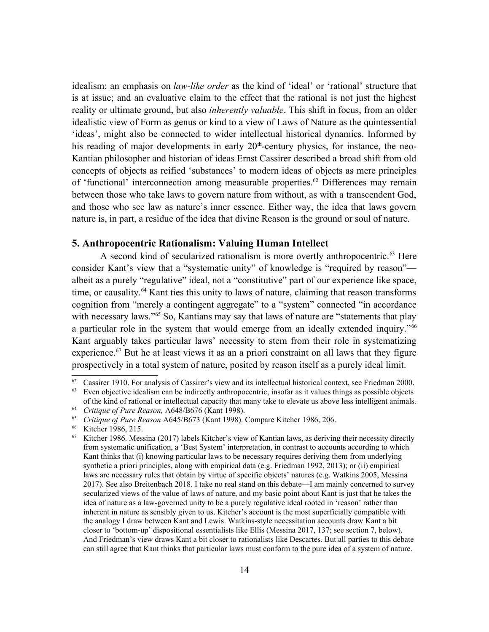idealism: an emphasis on *law-like order* as the kind of 'ideal' or 'rational' structure that is at issue; and an evaluative claim to the effect that the rational is not just the highest reality or ultimate ground, but also *inherently valuable*. This shift in focus, from an older idealistic view of Form as genus or kind to a view of Laws of Nature as the quintessential 'ideas', might also be connected to wider intellectual historical dynamics. Informed by his reading of major developments in early  $20<sup>th</sup>$ -century physics, for instance, the neo-Kantian philosopher and historian of ideas Ernst Cassirer described a broad shift from old concepts of objects as reified 'substances' to modern ideas of objects as mere principles of 'functional' interconnection among measurable properties.<sup>[62](#page-13-0)</sup> Differences may remain between those who take laws to govern nature from without, as with a transcendent God, and those who see law as nature's inner essence. Either way, the idea that laws govern nature is, in part, a residue of the idea that divine Reason is the ground or soul of nature.

# **5. Anthropocentric Rationalism: Valuing Human Intellect**

A second kind of secularized rationalism is more overtly anthropocentric.<sup>[63](#page-13-1)</sup> Here consider Kant's view that a "systematic unity" of knowledge is "required by reason" albeit as a purely "regulative" ideal, not a "constitutive" part of our experience like space, time, or causality.<sup>[64](#page-13-2)</sup> Kant ties this unity to laws of nature, claiming that reason transforms cognition from "merely a contingent aggregate" to a "system" connected "in accordance with necessary laws."<sup>[65](#page-13-3)</sup> So, Kantians may say that laws of nature are "statements that play a particular role in the system that would emerge from an ideally extended inquiry."<sup>[66](#page-13-4)</sup> Kant arguably takes particular laws' necessity to stem from their role in systematizing experience.<sup>[67](#page-13-5)</sup> But he at least views it as an a priori constraint on all laws that they figure prospectively in a total system of nature, posited by reason itself as a purely ideal limit.

<span id="page-13-0"></span><sup>&</sup>lt;sup>62</sup> Cassirer 1910. For analysis of Cassirer's view and its intellectual historical context, see Friedman 2000.<br><sup>63</sup> Even objective idealism can be indirectly anthropocentric, insofar as it values things as possible objec

<span id="page-13-1"></span>Even objective idealism can be indirectly anthropocentric, insofar as it values things as possible objects of the kind of rational or intellectual capacity that many take to elevate us above less intelligent animals.

<span id="page-13-2"></span><sup>64</sup> *Critique of Pure Reason,* A648/B676 (Kant 1998).

<span id="page-13-3"></span><sup>65</sup> *Critique of Pure Reason* A645/B673 (Kant 1998). Compare Kitcher 1986, 206.

<span id="page-13-4"></span> $^{66}$  Kitcher 1986, 215.<br> $^{67}$  Kitcher 1986, Mess

<span id="page-13-5"></span><sup>67</sup> Kitcher 1986. Messina (2017) labels Kitcher's view of Kantian laws, as deriving their necessity directly from systematic unification, a 'Best System' interpretation, in contrast to accounts according to which Kant thinks that (i) knowing particular laws to be necessary requires deriving them from underlying synthetic a priori principles, along with empirical data (e.g. Friedman 1992, 2013); or (ii) empirical laws are necessary rules that obtain by virtue of specific objects' natures (e.g. Watkins 2005, Messina 2017). See also Breitenbach 2018. I take no real stand on this debate—I am mainly concerned to survey secularized views of the value of laws of nature, and my basic point about Kant is just that he takes the idea of nature as a law-governed unity to be a purely regulative ideal rooted in 'reason' rather than inherent in nature as sensibly given to us. Kitcher's account is the most superficially compatible with the analogy I draw between Kant and Lewis. Watkins-style necessitation accounts draw Kant a bit closer to 'bottom-up' dispositional essentialists like Ellis (Messina 2017, 137; see section 7, below). And Friedman's view draws Kant a bit closer to rationalists like Descartes. But all parties to this debate can still agree that Kant thinks that particular laws must conform to the pure idea of a system of nature.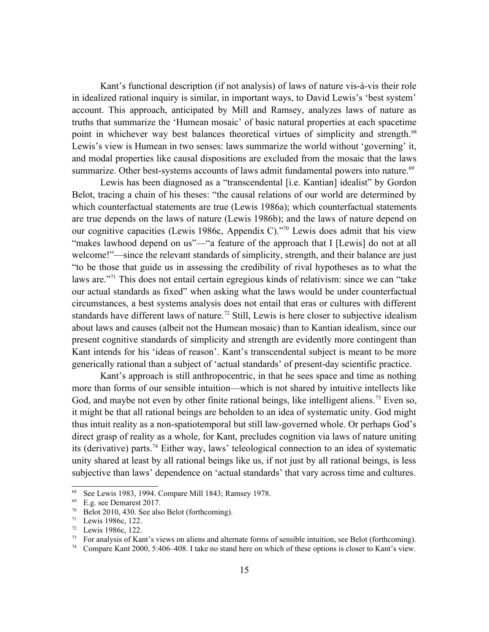Kant's functional description (if not analysis) of laws of nature vis-à-vis their role in idealized rational inquiry is similar, in important ways, to David Lewis's 'best system' account. This approach, anticipated by Mill and Ramsey, analyzes laws of nature as truths that summarize the 'Humean mosaic' of basic natural properties at each spacetime point in whichever way best balances theoretical virtues of simplicity and strength.<sup>[68](#page-14-0)</sup> Lewis's view is Humean in two senses: laws summarize the world without 'governing' it, and modal properties like causal dispositions are excluded from the mosaic that the laws summarize. Other best-systems accounts of laws admit fundamental powers into nature.<sup>[69](#page-14-1)</sup>

Lewis has been diagnosed as a "transcendental [i.e. Kantian] idealist" by Gordon Belot, tracing a chain of his theses: "the causal relations of our world are determined by which counterfactual statements are true (Lewis 1986a); which counterfactual statements are true depends on the laws of nature (Lewis 1986b); and the laws of nature depend on our cognitive capacities (Lewis 1986c, Appendix C)."[70](#page-14-2) Lewis does admit that his view "makes lawhood depend on us"—"a feature of the approach that I [Lewis] do not at all welcome!"—since the relevant standards of simplicity, strength, and their balance are just "to be those that guide us in assessing the credibility of rival hypotheses as to what the laws are."[71](#page-14-3) This does not entail certain egregious kinds of relativism: since we can "take our actual standards as fixed" when asking what the laws would be under counterfactual circumstances, a best systems analysis does not entail that eras or cultures with different standards have different laws of nature.<sup>[72](#page-14-4)</sup> Still, Lewis is here closer to subjective idealism about laws and causes (albeit not the Humean mosaic) than to Kantian idealism, since our present cognitive standards of simplicity and strength are evidently more contingent than Kant intends for his 'ideas of reason'. Kant's transcendental subject is meant to be more generically rational than a subject of 'actual standards' of present-day scientific practice.

Kant's approach is still anthropocentric, in that he sees space and time as nothing more than forms of our sensible intuition—which is not shared by intuitive intellects like God, and maybe not even by other finite rational beings, like intelligent aliens.<sup>[73](#page-14-5)</sup> Even so, it might be that all rational beings are beholden to an idea of systematic unity. God might thus intuit reality as a non-spatiotemporal but still law-governed whole. Or perhaps God's direct grasp of reality as a whole, for Kant, precludes cognition via laws of nature uniting its (derivative) parts.[74](#page-14-6) Either way, laws' teleological connection to an idea of systematic unity shared at least by all rational beings like us, if not just by all rational beings, is less subjective than laws' dependence on 'actual standards' that vary across time and cultures.

<span id="page-14-0"></span><sup>&</sup>lt;sup>68</sup> See Lewis 1983, 1994. Compare Mill 1843; Ramsey 1978.<br><sup>69</sup> F  $\sigma$  see Demarest 2017

<span id="page-14-1"></span>E.g. see Demarest 2017.

<span id="page-14-2"></span> $70$  Belot 2010, 430. See also Belot (forthcoming).

<span id="page-14-3"></span><sup>71</sup> Lewis 1986c, 122.

<span id="page-14-4"></span> $\frac{72}{73}$  Lewis 1986c, 122.

<span id="page-14-5"></span><sup>73</sup> For analysis of Kant's views on aliens and alternate forms of sensible intuition, see Belot (forthcoming).

<span id="page-14-6"></span><sup>74</sup> Compare Kant 2000, 5:406–408. I take no stand here on which of these options is closer to Kant's view.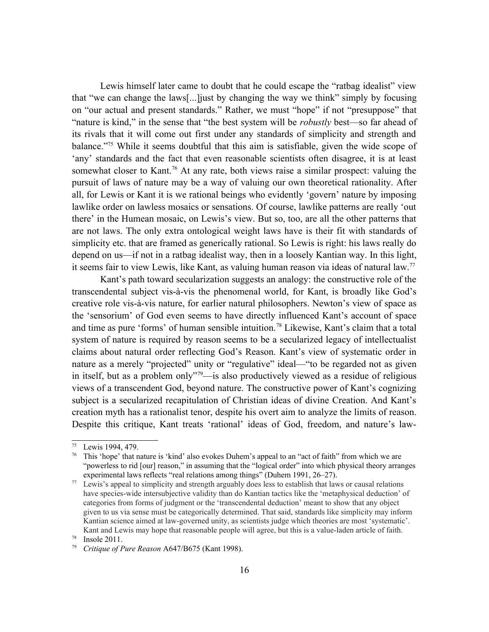Lewis himself later came to doubt that he could escape the "ratbag idealist" view that "we can change the laws[...]just by changing the way we think" simply by focusing on "our actual and present standards." Rather, we must "hope" if not "presuppose" that "nature is kind," in the sense that "the best system will be *robustly* best—so far ahead of its rivals that it will come out first under any standards of simplicity and strength and balance."<sup>[75](#page-15-0)</sup> While it seems doubtful that this aim is satisfiable, given the wide scope of 'any' standards and the fact that even reasonable scientists often disagree, it is at least somewhat closer to Kant.<sup>[76](#page-15-1)</sup> At any rate, both views raise a similar prospect: valuing the pursuit of laws of nature may be a way of valuing our own theoretical rationality. After all, for Lewis or Kant it is we rational beings who evidently 'govern' nature by imposing lawlike order on lawless mosaics or sensations. Of course, lawlike patterns are really 'out there' in the Humean mosaic, on Lewis's view. But so, too, are all the other patterns that are not laws. The only extra ontological weight laws have is their fit with standards of simplicity etc. that are framed as generically rational. So Lewis is right: his laws really do depend on us—if not in a ratbag idealist way, then in a loosely Kantian way. In this light, it seems fair to view Lewis, like Kant, as valuing human reason via ideas of natural law.[77](#page-15-2)

Kant's path toward secularization suggests an analogy: the constructive role of the transcendental subject vis-à-vis the phenomenal world, for Kant, is broadly like God's creative role vis-à-vis nature, for earlier natural philosophers. Newton's view of space as the 'sensorium' of God even seems to have directly influenced Kant's account of space and time as pure 'forms' of human sensible intuition.<sup>[78](#page-15-3)</sup> Likewise, Kant's claim that a total system of nature is required by reason seems to be a secularized legacy of intellectualist claims about natural order reflecting God's Reason. Kant's view of systematic order in nature as a merely "projected" unity or "regulative" ideal—"to be regarded not as given in itself, but as a problem only<sup> $\frac{1}{2}$ </sup> = is also productively viewed as a residue of religious views of a transcendent God, beyond nature. The constructive power of Kant's cognizing subject is a secularized recapitulation of Christian ideas of divine Creation. And Kant's creation myth has a rationalist tenor, despite his overt aim to analyze the limits of reason. Despite this critique, Kant treats 'rational' ideas of God, freedom, and nature's law-

<span id="page-15-0"></span><sup>75</sup> Lewis 1994, 479.

<span id="page-15-1"></span>This 'hope' that nature is 'kind' also evokes Duhem's appeal to an "act of faith" from which we are "powerless to rid [our] reason," in assuming that the "logical order" into which physical theory arranges experimental laws reflects "real relations among things" (Duhem 1991, 26–27).

<span id="page-15-2"></span><sup>&</sup>lt;sup>77</sup> Lewis's appeal to simplicity and strength arguably does less to establish that laws or causal relations have species-wide intersubjective validity than do Kantian tactics like the 'metaphysical deduction' of categories from forms of judgment or the 'transcendental deduction' meant to show that any object given to us via sense must be categorically determined. That said, standards like simplicity may inform Kantian science aimed at law-governed unity, as scientists judge which theories are most 'systematic'. Kant and Lewis may hope that reasonable people will agree, but this is a value-laden article of faith. <sup>78</sup> Insole 2011.

<span id="page-15-4"></span><span id="page-15-3"></span><sup>79</sup> *Critique of Pure Reason* A647/B675 (Kant 1998).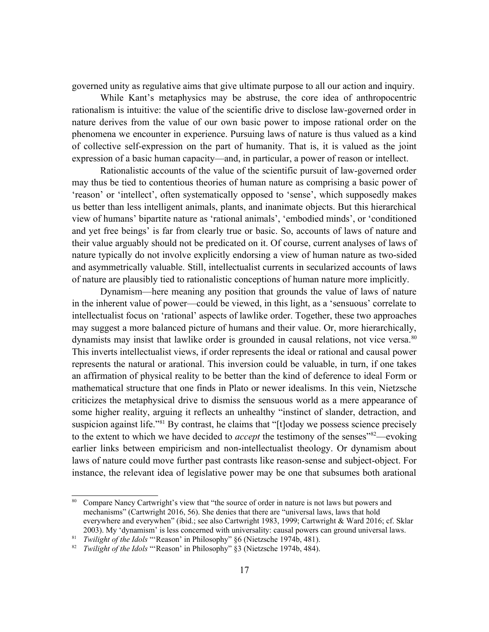governed unity as regulative aims that give ultimate purpose to all our action and inquiry.

While Kant's metaphysics may be abstruse, the core idea of anthropocentric rationalism is intuitive: the value of the scientific drive to disclose law-governed order in nature derives from the value of our own basic power to impose rational order on the phenomena we encounter in experience. Pursuing laws of nature is thus valued as a kind of collective self-expression on the part of humanity. That is, it is valued as the joint expression of a basic human capacity—and, in particular, a power of reason or intellect.

Rationalistic accounts of the value of the scientific pursuit of law-governed order may thus be tied to contentious theories of human nature as comprising a basic power of 'reason' or 'intellect', often systematically opposed to 'sense', which supposedly makes us better than less intelligent animals, plants, and inanimate objects. But this hierarchical view of humans' bipartite nature as 'rational animals', 'embodied minds', or 'conditioned and yet free beings' is far from clearly true or basic. So, accounts of laws of nature and their value arguably should not be predicated on it. Of course, current analyses of laws of nature typically do not involve explicitly endorsing a view of human nature as two-sided and asymmetrically valuable. Still, intellectualist currents in secularized accounts of laws of nature are plausibly tied to rationalistic conceptions of human nature more implicitly.

Dynamism—here meaning any position that grounds the value of laws of nature in the inherent value of power—could be viewed, in this light, as a 'sensuous' correlate to intellectualist focus on 'rational' aspects of lawlike order. Together, these two approaches may suggest a more balanced picture of humans and their value. Or, more hierarchically, dynamists may insist that lawlike order is grounded in causal relations, not vice versa.<sup>[80](#page-16-0)</sup> This inverts intellectualist views, if order represents the ideal or rational and causal power represents the natural or arational. This inversion could be valuable, in turn, if one takes an affirmation of physical reality to be better than the kind of deference to ideal Form or mathematical structure that one finds in Plato or newer idealisms. In this vein, Nietzsche criticizes the metaphysical drive to dismiss the sensuous world as a mere appearance of some higher reality, arguing it reflects an unhealthy "instinct of slander, detraction, and suspicion against life."<sup>[81](#page-16-1)</sup> By contrast, he claims that "[t]oday we possess science precisely to the extent to which we have decided to *accept* the testimony of the senses<sup>"[82](#page-16-2)</sup>—evoking earlier links between empiricism and non-intellectualist theology. Or dynamism about laws of nature could move further past contrasts like reason-sense and subject-object. For instance, the relevant idea of legislative power may be one that subsumes both arational

<span id="page-16-0"></span><sup>&</sup>lt;sup>80</sup> Compare Nancy Cartwright's view that "the source of order in nature is not laws but powers and mechanisms" (Cartwright 2016, 56). She denies that there are "universal laws, laws that hold everywhere and everywhen" (ibid.; see also Cartwright 1983, 1999; Cartwright & Ward 2016; cf. Sklar 2003). My 'dynamism' is less concerned with universality: causal powers can ground universal laws.

<span id="page-16-1"></span><sup>81</sup> *Twilight of the Idols* "'Reason' in Philosophy" §6 (Nietzsche 1974b, 481).

<span id="page-16-2"></span><sup>82</sup> *Twilight of the Idols* "'Reason' in Philosophy" §3 (Nietzsche 1974b, 484).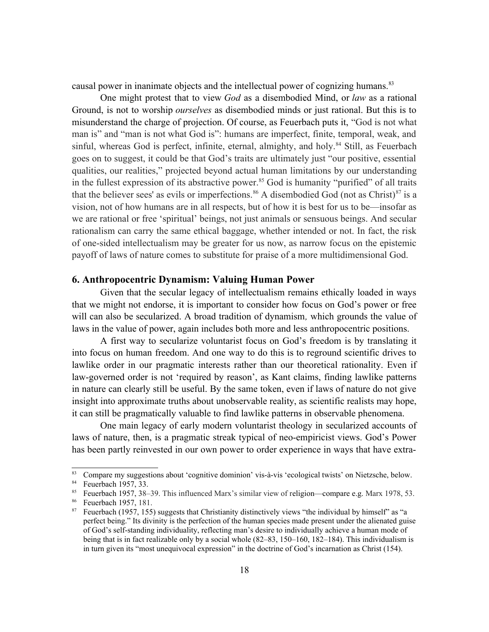causal power in inanimate objects and the intellectual power of cognizing humans.<sup>[83](#page-17-0)</sup>

One might protest that to view *God* as a disembodied Mind, or *law* as a rational Ground, is not to worship *ourselves* as disembodied minds or just rational. But this is to misunderstand the charge of projection. Of course, as Feuerbach puts it, "God is not what man is" and "man is not what God is": humans are imperfect, finite, temporal, weak, and sinful, whereas God is perfect, infinite, eternal, almighty, and holy.<sup>[84](#page-17-1)</sup> Still, as Feuerbach goes on to suggest, it could be that God's traits are ultimately just "our positive, essential qualities, our realities," projected beyond actual human limitations by our understanding in the fullest expression of its abstractive power.<sup>[85](#page-17-2)</sup> God is humanity "purified" of all traits that the believer sees' as evils or imperfections.<sup>[86](#page-17-3)</sup> A disembodied God (not as Christ)<sup>[87](#page-17-4)</sup> is a vision, not of how humans are in all respects, but of how it is best for us to be—insofar as we are rational or free 'spiritual' beings, not just animals or sensuous beings. And secular rationalism can carry the same ethical baggage, whether intended or not. In fact, the risk of one-sided intellectualism may be greater for us now, as narrow focus on the epistemic payoff of laws of nature comes to substitute for praise of a more multidimensional God.

#### **6. Anthropocentric Dynamism: Valuing Human Power**

Given that the secular legacy of intellectualism remains ethically loaded in ways that we might not endorse, it is important to consider how focus on God's power or free will can also be secularized. A broad tradition of dynamism*,* which grounds the value of laws in the value of power, again includes both more and less anthropocentric positions.

A first way to secularize voluntarist focus on God's freedom is by translating it into focus on human freedom. And one way to do this is to reground scientific drives to lawlike order in our pragmatic interests rather than our theoretical rationality. Even if law-governed order is not 'required by reason', as Kant claims, finding lawlike patterns in nature can clearly still be useful. By the same token, even if laws of nature do not give insight into approximate truths about unobservable reality, as scientific realists may hope, it can still be pragmatically valuable to find lawlike patterns in observable phenomena.

One main legacy of early modern voluntarist theology in secularized accounts of laws of nature, then, is a pragmatic streak typical of neo-empiricist views. God's Power has been partly reinvested in our own power to order experience in ways that have extra-

<span id="page-17-0"></span><sup>83</sup> Compare my suggestions about 'cognitive dominion' vis-à-vis 'ecological twists' on Nietzsche, below.

<span id="page-17-1"></span><sup>&</sup>lt;sup>84</sup> Feuerbach 1957, 33.

<span id="page-17-2"></span><sup>&</sup>lt;sup>85</sup> Feuerbach 1957, 38–39. This influenced Marx's similar view of religion—compare e.g. Marx 1978, 53.<br><sup>86</sup> Feuerbach 1957–181

<span id="page-17-3"></span>Feuerbach 1957, 181.

<span id="page-17-4"></span> $87$  Feuerbach (1957, 155) suggests that Christianity distinctively views "the individual by himself" as "a perfect being." Its divinity is the perfection of the human species made present under the alienated guise of God's self-standing individuality, reflecting man's desire to individually achieve a human mode of being that is in fact realizable only by a social whole (82–83, 150–160, 182–184). This individualism is in turn given its "most unequivocal expression" in the doctrine of God's incarnation as Christ (154).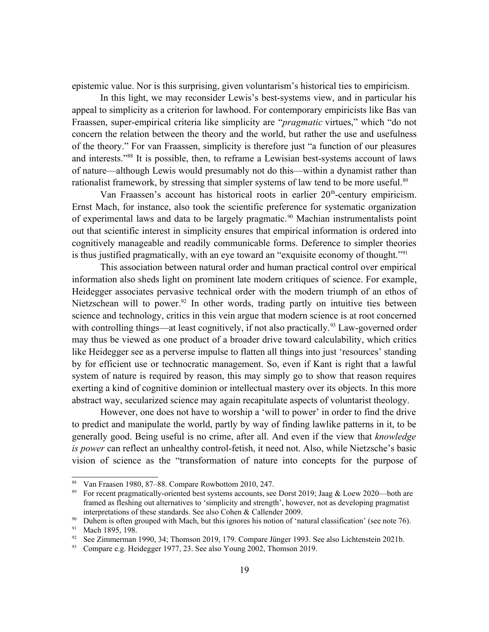epistemic value. Nor is this surprising, given voluntarism's historical ties to empiricism.

In this light, we may reconsider Lewis's best-systems view, and in particular his appeal to simplicity as a criterion for lawhood. For contemporary empiricists like Bas van Fraassen, super-empirical criteria like simplicity are "*pragmatic* virtues," which "do not concern the relation between the theory and the world, but rather the use and usefulness of the theory." For van Fraassen, simplicity is therefore just "a function of our pleasures and interests."[88](#page-18-0) It is possible, then, to reframe a Lewisian best-systems account of laws of nature—although Lewis would presumably not do this—within a dynamist rather than rationalist framework, by stressing that simpler systems of law tend to be more useful.<sup>[89](#page-18-1)</sup>

Van Fraassen's account has historical roots in earlier  $20<sup>th</sup>$ -century empiricism. Ernst Mach, for instance, also took the scientific preference for systematic organization of experimental laws and data to be largely pragmatic.<sup>[90](#page-18-2)</sup> Machian instrumentalists point out that scientific interest in simplicity ensures that empirical information is ordered into cognitively manageable and readily communicable forms. Deference to simpler theories is thus justified pragmatically, with an eye toward an "exquisite economy of thought."<sup>[91](#page-18-3)</sup>

This association between natural order and human practical control over empirical information also sheds light on prominent late modern critiques of science. For example, Heidegger associates pervasive technical order with the modern triumph of an ethos of Nietzschean will to power.<sup>[92](#page-18-4)</sup> In other words, trading partly on intuitive ties between science and technology, critics in this vein argue that modern science is at root concerned with controlling things—at least cognitively, if not also practically.<sup>[93](#page-18-5)</sup> Law-governed order may thus be viewed as one product of a broader drive toward calculability, which critics like Heidegger see as a perverse impulse to flatten all things into just 'resources' standing by for efficient use or technocratic management. So, even if Kant is right that a lawful system of nature is required by reason, this may simply go to show that reason requires exerting a kind of cognitive dominion or intellectual mastery over its objects. In this more abstract way, secularized science may again recapitulate aspects of voluntarist theology.

However, one does not have to worship a 'will to power' in order to find the drive to predict and manipulate the world, partly by way of finding lawlike patterns in it, to be generally good. Being useful is no crime, after all. And even if the view that *knowledge is power* can reflect an unhealthy control-fetish, it need not. Also, while Nietzsche's basic vision of science as the "transformation of nature into concepts for the purpose of

<span id="page-18-0"></span><sup>88</sup> Van Fraasen 1980, 87–88. Compare Rowbottom 2010, 247.

<span id="page-18-1"></span><sup>89</sup> For recent pragmatically-oriented best systems accounts, see Dorst 2019; Jaag & Loew 2020—both are framed as fleshing out alternatives to 'simplicity and strength', however, not as developing pragmatist interpretations of these standards. See also Cohen & Callender 2009.

<span id="page-18-2"></span><sup>&</sup>lt;sup>90</sup> Duhem is often grouped with Mach, but this ignores his notion of 'natural classification' (see note 76).

<span id="page-18-3"></span><sup>&</sup>lt;sup>91</sup> Mach 1895, 198.

<span id="page-18-4"></span><sup>&</sup>lt;sup>92</sup> See Zimmerman 1990, 34; Thomson 2019, 179. Compare Jünger 1993. See also Lichtenstein 2021b.

<span id="page-18-5"></span><sup>&</sup>lt;sup>93</sup> Compare e.g. Heidegger 1977, 23. See also Young 2002, Thomson 2019.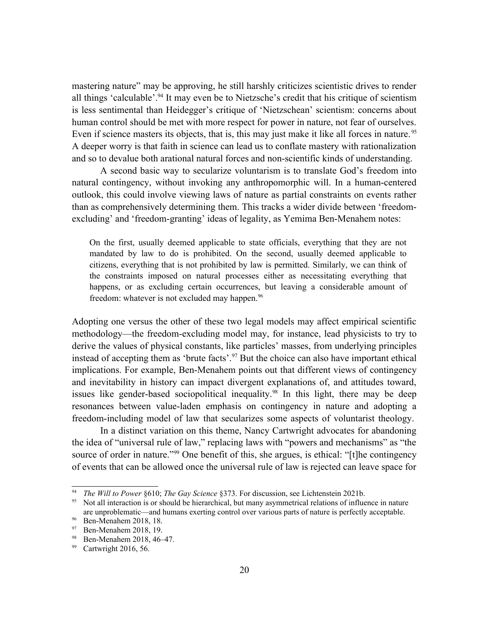mastering nature" may be approving, he still harshly criticizes scientistic drives to render all things 'calculable'.<sup>[94](#page-19-0)</sup> It may even be to Nietzsche's credit that his critique of scientism is less sentimental than Heidegger's critique of 'Nietzschean' scientism: concerns about human control should be met with more respect for power in nature, not fear of ourselves. Even if science masters its objects, that is, this may just make it like all forces in nature.<sup>[95](#page-19-1)</sup> A deeper worry is that faith in science can lead us to conflate mastery with rationalization and so to devalue both arational natural forces and non-scientific kinds of understanding.

A second basic way to secularize voluntarism is to translate God's freedom into natural contingency, without invoking any anthropomorphic will. In a human-centered outlook, this could involve viewing laws of nature as partial constraints on events rather than as comprehensively determining them. This tracks a wider divide between 'freedomexcluding' and 'freedom-granting' ideas of legality, as Yemima Ben-Menahem notes:

On the first, usually deemed applicable to state officials, everything that they are not mandated by law to do is prohibited. On the second, usually deemed applicable to citizens, everything that is not prohibited by law is permitted. Similarly, we can think of the constraints imposed on natural processes either as necessitating everything that happens, or as excluding certain occurrences, but leaving a considerable amount of freedom: whatever is not excluded may happen.<sup>[96](#page-19-2)</sup>

Adopting one versus the other of these two legal models may affect empirical scientific methodology—the freedom-excluding model may, for instance, lead physicists to try to derive the values of physical constants, like particles' masses, from underlying principles instead of accepting them as 'brute facts'.[97](#page-19-3) But the choice can also have important ethical implications. For example, Ben-Menahem points out that different views of contingency and inevitability in history can impact divergent explanations of, and attitudes toward, issues like gender-based sociopolitical inequality.<sup>[98](#page-19-4)</sup> In this light, there may be deep resonances between value-laden emphasis on contingency in nature and adopting a freedom-including model of law that secularizes some aspects of voluntarist theology.

In a distinct variation on this theme, Nancy Cartwright advocates for abandoning the idea of "universal rule of law," replacing laws with "powers and mechanisms" as "the source of order in nature."<sup>[99](#page-19-5)</sup> One benefit of this, she argues, is ethical: "[t]he contingency of events that can be allowed once the universal rule of law is rejected can leave space for

<span id="page-19-0"></span><sup>94</sup> *The Will to Power* §610; *The Gay Science* §373. For discussion, see Lichtenstein 2021b.

<span id="page-19-1"></span><sup>95</sup> Not all interaction is or should be hierarchical, but many asymmetrical relations of influence in nature are unproblematic—and humans exerting control over various parts of nature is perfectly acceptable.

<span id="page-19-2"></span><sup>96</sup> Ben-Menahem 2018, 18.

<span id="page-19-3"></span><sup>97</sup> Ben-Menahem 2018, 19.

<span id="page-19-4"></span><sup>98</sup> Ben-Menahem 2018, 46–47.

<span id="page-19-5"></span><sup>&</sup>lt;sup>99</sup> Cartwright 2016, 56.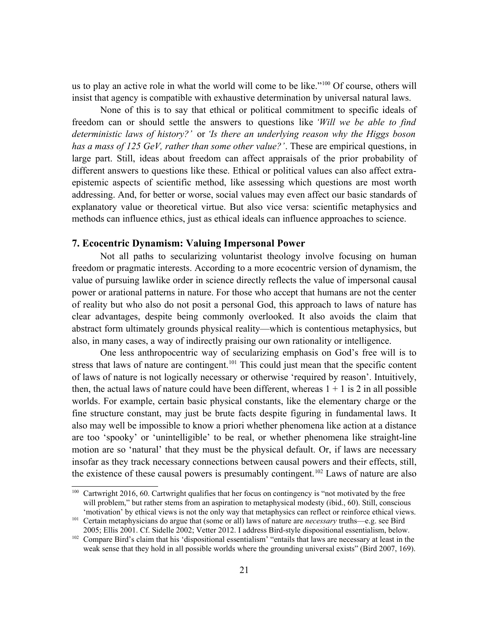us to play an active role in what the world will come to be like."<sup>[100](#page-20-0)</sup> Of course, others will insist that agency is compatible with exhaustive determination by universal natural laws.

None of this is to say that ethical or political commitment to specific ideals of freedom can or should settle the answers to questions like *'Will we be able to find deterministic laws of history?'* or *'Is there an underlying reason why the Higgs boson has a mass of 125 GeV, rather than some other value?'*. These are empirical questions, in large part. Still, ideas about freedom can affect appraisals of the prior probability of different answers to questions like these. Ethical or political values can also affect extraepistemic aspects of scientific method, like assessing which questions are most worth addressing. And, for better or worse, social values may even affect our basic standards of explanatory value or theoretical virtue. But also vice versa: scientific metaphysics and methods can influence ethics, just as ethical ideals can influence approaches to science.

## **7. Ecocentric Dynamism: Valuing Impersonal Power**

Not all paths to secularizing voluntarist theology involve focusing on human freedom or pragmatic interests. According to a more ecocentric version of dynamism, the value of pursuing lawlike order in science directly reflects the value of impersonal causal power or arational patterns in nature. For those who accept that humans are not the center of reality but who also do not posit a personal God, this approach to laws of nature has clear advantages, despite being commonly overlooked. It also avoids the claim that abstract form ultimately grounds physical reality—which is contentious metaphysics, but also, in many cases, a way of indirectly praising our own rationality or intelligence.

One less anthropocentric way of secularizing emphasis on God's free will is to stress that laws of nature are contingent.<sup>[101](#page-20-1)</sup> This could just mean that the specific content of laws of nature is not logically necessary or otherwise 'required by reason'. Intuitively, then, the actual laws of nature could have been different, whereas  $1 + 1$  is 2 in all possible worlds. For example, certain basic physical constants, like the elementary charge or the fine structure constant, may just be brute facts despite figuring in fundamental laws. It also may well be impossible to know a priori whether phenomena like action at a distance are too 'spooky' or 'unintelligible' to be real, or whether phenomena like straight-line motion are so 'natural' that they must be the physical default. Or, if laws are necessary insofar as they track necessary connections between causal powers and their effects, still, the existence of these causal powers is presumably contingent.<sup>[102](#page-20-2)</sup> Laws of nature are also

<span id="page-20-0"></span><sup>&</sup>lt;sup>100</sup> Cartwright 2016, 60. Cartwright qualifies that her focus on contingency is "not motivated by the free will problem," but rather stems from an aspiration to metaphysical modesty (ibid., 60). Still, conscious 'motivation' by ethical views is not the only way that metaphysics can reflect or reinforce ethical views.

<span id="page-20-1"></span><sup>101</sup> Certain metaphysicians do argue that (some or all) laws of nature are *necessary* truths—e.g. see Bird 2005; Ellis 2001. Cf. Sidelle 2002; Vetter 2012. I address Bird-style dispositional essentialism, below.

<span id="page-20-2"></span><sup>&</sup>lt;sup>102</sup> Compare Bird's claim that his 'dispositional essentialism' "entails that laws are necessary at least in the weak sense that they hold in all possible worlds where the grounding universal exists" (Bird 2007, 169).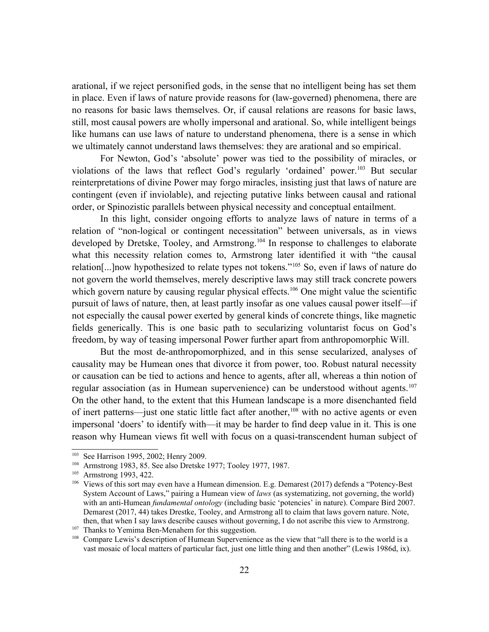arational, if we reject personified gods, in the sense that no intelligent being has set them in place. Even if laws of nature provide reasons for (law-governed) phenomena, there are no reasons for basic laws themselves. Or, if causal relations are reasons for basic laws, still, most causal powers are wholly impersonal and arational. So, while intelligent beings like humans can use laws of nature to understand phenomena, there is a sense in which we ultimately cannot understand laws themselves: they are arational and so empirical.

For Newton, God's 'absolute' power was tied to the possibility of miracles, or violations of the laws that reflect God's regularly 'ordained' power.[103](#page-21-0) But secular reinterpretations of divine Power may forgo miracles, insisting just that laws of nature are contingent (even if inviolable), and rejecting putative links between causal and rational order, or Spinozistic parallels between physical necessity and conceptual entailment.

In this light, consider ongoing efforts to analyze laws of nature in terms of a relation of "non-logical or contingent necessitation" between universals, as in views developed by Dretske, Tooley, and Armstrong.<sup>[104](#page-21-1)</sup> In response to challenges to elaborate what this necessity relation comes to, Armstrong later identified it with "the causal relation[...]now hypothesized to relate types not tokens."[105](#page-21-2) So, even if laws of nature do not govern the world themselves, merely descriptive laws may still track concrete powers which govern nature by causing regular physical effects.<sup>[106](#page-21-3)</sup> One might value the scientific pursuit of laws of nature, then, at least partly insofar as one values causal power itself—if not especially the causal power exerted by general kinds of concrete things, like magnetic fields generically. This is one basic path to secularizing voluntarist focus on God's freedom, by way of teasing impersonal Power further apart from anthropomorphic Will.

But the most de-anthropomorphized, and in this sense secularized, analyses of causality may be Humean ones that divorce it from power, too. Robust natural necessity or causation can be tied to actions and hence to agents, after all, whereas a thin notion of regular association (as in Humean supervenience) can be understood without agents.<sup>[107](#page-21-4)</sup> On the other hand, to the extent that this Humean landscape is a more disenchanted field of inert patterns—just one static little fact after another,<sup>[108](#page-21-5)</sup> with no active agents or even impersonal 'doers' to identify with—it may be harder to find deep value in it. This is one reason why Humean views fit well with focus on a quasi-transcendent human subject of

<span id="page-21-0"></span><sup>103</sup> See Harrison 1995, 2002; Henry 2009.

<span id="page-21-1"></span><sup>104</sup> Armstrong 1983, 85. See also Dretske 1977; Tooley 1977, 1987.

<span id="page-21-2"></span><sup>&</sup>lt;sup>105</sup> Armstrong 1993, 422.

<span id="page-21-3"></span><sup>106</sup> Views of this sort may even have a Humean dimension. E.g. Demarest (2017) defends a "Potency-Best System Account of Laws," pairing a Humean view of *laws* (as systematizing, not governing, the world) with an anti-Humean *fundamental ontology* (including basic 'potencies' in nature). Compare Bird 2007. Demarest (2017, 44) takes Drestke, Tooley, and Armstrong all to claim that laws govern nature. Note, then, that when I say laws describe causes without governing, I do not ascribe this view to Armstrong.

<span id="page-21-4"></span><sup>&</sup>lt;sup>107</sup> Thanks to Yemima Ben-Menahem for this suggestion.

<span id="page-21-5"></span><sup>&</sup>lt;sup>108</sup> Compare Lewis's description of Humean Supervenience as the view that "all there is to the world is a vast mosaic of local matters of particular fact, just one little thing and then another" (Lewis 1986d, ix).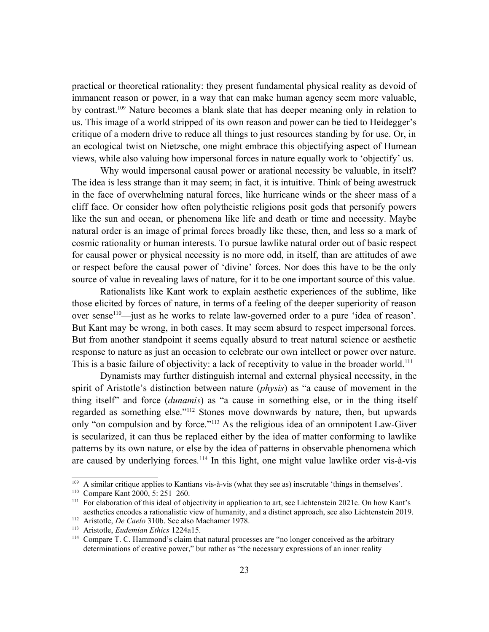practical or theoretical rationality: they present fundamental physical reality as devoid of immanent reason or power, in a way that can make human agency seem more valuable, by contrast.[109](#page-22-0) Nature becomes a blank slate that has deeper meaning only in relation to us. This image of a world stripped of its own reason and power can be tied to Heidegger's critique of a modern drive to reduce all things to just resources standing by for use. Or, in an ecological twist on Nietzsche, one might embrace this objectifying aspect of Humean views, while also valuing how impersonal forces in nature equally work to 'objectify' us.

Why would impersonal causal power or arational necessity be valuable, in itself? The idea is less strange than it may seem; in fact, it is intuitive. Think of being awestruck in the face of overwhelming natural forces, like hurricane winds or the sheer mass of a cliff face. Or consider how often polytheistic religions posit gods that personify powers like the sun and ocean, or phenomena like life and death or time and necessity. Maybe natural order is an image of primal forces broadly like these, then, and less so a mark of cosmic rationality or human interests. To pursue lawlike natural order out of basic respect for causal power or physical necessity is no more odd, in itself, than are attitudes of awe or respect before the causal power of 'divine' forces. Nor does this have to be the only source of value in revealing laws of nature, for it to be one important source of this value.

Rationalists like Kant work to explain aesthetic experiences of the sublime, like those elicited by forces of nature, in terms of a feeling of the deeper superiority of reason over sense<sup>[110](#page-22-1)</sup>—just as he works to relate law-governed order to a pure 'idea of reason'. But Kant may be wrong, in both cases. It may seem absurd to respect impersonal forces. But from another standpoint it seems equally absurd to treat natural science or aesthetic response to nature as just an occasion to celebrate our own intellect or power over nature. This is a basic failure of objectivity: a lack of receptivity to value in the broader world.<sup>[111](#page-22-2)</sup>

Dynamists may further distinguish internal and external physical necessity, in the spirit of Aristotle's distinction between nature (*physis*) as "a cause of movement in the thing itself" and force (*dunamis*) as "a cause in something else, or in the thing itself regarded as something else."[112](#page-22-3) Stones move downwards by nature, then, but upwards only "on compulsion and by force."[113](#page-22-4) As the religious idea of an omnipotent Law-Giver is secularized, it can thus be replaced either by the idea of matter conforming to lawlike patterns by its own nature, or else by the idea of patterns in observable phenomena which are caused by underlying forces*.* [114](#page-22-5) In this light, one might value lawlike order vis-à-vis

<span id="page-22-0"></span><sup>109</sup> A similar critique applies to Kantians vis-à-vis (what they see as) inscrutable 'things in themselves'.

<span id="page-22-1"></span><sup>110</sup> Compare Kant 2000, 5: 251–260.

<span id="page-22-2"></span><sup>&</sup>lt;sup>111</sup> For elaboration of this ideal of objectivity in application to art, see Lichtenstein 2021c. On how Kant's aesthetics encodes a rationalistic view of humanity, and a distinct approach, see also Lichtenstein 2019.

<span id="page-22-3"></span><sup>112</sup> Aristotle, *De Caelo* 310b. See also Machamer 1978.

<span id="page-22-4"></span><sup>113</sup> Aristotle, *Eudemian Ethics* 1224a15.

<span id="page-22-5"></span><sup>&</sup>lt;sup>114</sup> Compare T. C. Hammond's claim that natural processes are "no longer conceived as the arbitrary determinations of creative power," but rather as "the necessary expressions of an inner reality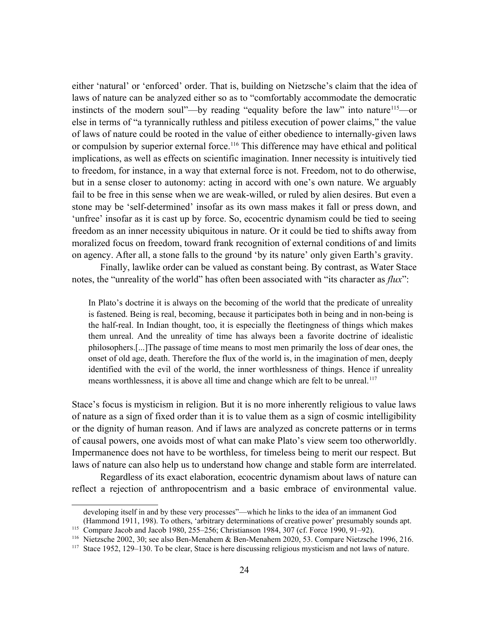either 'natural' or 'enforced' order. That is, building on Nietzsche's claim that the idea of laws of nature can be analyzed either so as to "comfortably accommodate the democratic instincts of the modern soul"—by reading "equality before the law" into nature<sup>[115](#page-23-0)</sup>—or else in terms of "a tyrannically ruthless and pitiless execution of power claims," the value of laws of nature could be rooted in the value of either obedience to internally-given laws or compulsion by superior external force.<sup>[116](#page-23-1)</sup> This difference may have ethical and political implications, as well as effects on scientific imagination. Inner necessity is intuitively tied to freedom, for instance, in a way that external force is not. Freedom, not to do otherwise, but in a sense closer to autonomy: acting in accord with one's own nature. We arguably fail to be free in this sense when we are weak-willed, or ruled by alien desires. But even a stone may be 'self-determined' insofar as its own mass makes it fall or press down, and 'unfree' insofar as it is cast up by force. So, ecocentric dynamism could be tied to seeing freedom as an inner necessity ubiquitous in nature. Or it could be tied to shifts away from moralized focus on freedom, toward frank recognition of external conditions of and limits on agency. After all, a stone falls to the ground 'by its nature' only given Earth's gravity.

Finally, lawlike order can be valued as constant being. By contrast, as Water Stace notes, the "unreality of the world" has often been associated with "its character as *flux*":

In Plato's doctrine it is always on the becoming of the world that the predicate of unreality is fastened. Being is real, becoming, because it participates both in being and in non-being is the half-real. In Indian thought, too, it is especially the fleetingness of things which makes them unreal. And the unreality of time has always been a favorite doctrine of idealistic philosophers.[...]The passage of time means to most men primarily the loss of dear ones, the onset of old age, death. Therefore the flux of the world is, in the imagination of men, deeply identified with the evil of the world, the inner worthlessness of things. Hence if unreality means worthlessness, it is above all time and change which are felt to be unreal.<sup>[117](#page-23-2)</sup>

Stace's focus is mysticism in religion. But it is no more inherently religious to value laws of nature as a sign of fixed order than it is to value them as a sign of cosmic intelligibility or the dignity of human reason. And if laws are analyzed as concrete patterns or in terms of causal powers, one avoids most of what can make Plato's view seem too otherworldly. Impermanence does not have to be worthless, for timeless being to merit our respect. But laws of nature can also help us to understand how change and stable form are interrelated.

Regardless of its exact elaboration, ecocentric dynamism about laws of nature can reflect a rejection of anthropocentrism and a basic embrace of environmental value.

developing itself in and by these very processes"—which he links to the idea of an immanent God

<sup>(</sup>Hammond 1911, 198). To others, 'arbitrary determinations of creative power' presumably sounds apt.

<span id="page-23-0"></span><sup>115</sup> Compare Jacob and Jacob 1980, 255–256; Christianson 1984, 307 (cf. Force 1990, 91–92).

<span id="page-23-1"></span><sup>116</sup> Nietzsche 2002, 30; see also Ben-Menahem & Ben-Menahem 2020, 53. Compare Nietzsche 1996, 216.

<span id="page-23-2"></span><sup>&</sup>lt;sup>117</sup> Stace 1952, 129–130. To be clear, Stace is here discussing religious mysticism and not laws of nature.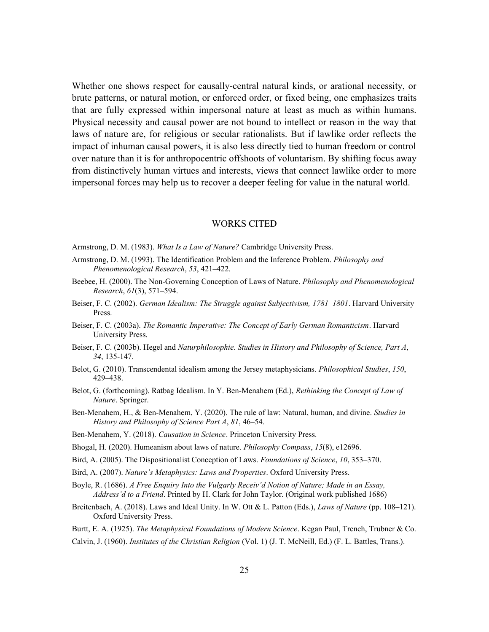Whether one shows respect for causally-central natural kinds, or arational necessity, or brute patterns, or natural motion, or enforced order, or fixed being, one emphasizes traits that are fully expressed within impersonal nature at least as much as within humans. Physical necessity and causal power are not bound to intellect or reason in the way that laws of nature are, for religious or secular rationalists. But if lawlike order reflects the impact of inhuman causal powers, it is also less directly tied to human freedom or control over nature than it is for anthropocentric offshoots of voluntarism. By shifting focus away from distinctively human virtues and interests, views that connect lawlike order to more impersonal forces may help us to recover a deeper feeling for value in the natural world.

#### WORKS CITED

- Armstrong, D. M. (1983). *What Is a Law of Nature?* Cambridge University Press.
- Armstrong, D. M. (1993). The Identification Problem and the Inference Problem. *Philosophy and Phenomenological Research*, *53*, 421–422.
- Beebee, H. (2000). The Non-Governing Conception of Laws of Nature. *Philosophy and Phenomenological Research*, *61*(3), 571–594.
- Beiser, F. C. (2002). *German Idealism: The Struggle against Subjectivism, 1781–1801*. Harvard University Press.
- Beiser, F. C. (2003a). *The Romantic Imperative: The Concept of Early German Romanticism*. Harvard University Press.
- Beiser, F. C. (2003b). Hegel and *Naturphilosophie*. *Studies in History and Philosophy of Science, Part A*, *34*, 135-147.
- Belot, G. (2010). Transcendental idealism among the Jersey metaphysicians. *Philosophical Studies*, *150*, 429–438.
- Belot, G. (forthcoming). Ratbag Idealism. In Y. Ben-Menahem (Ed.), *Rethinking the Concept of Law of Nature*. Springer.
- Ben-Menahem, H., & Ben-Menahem, Y. (2020). The rule of law: Natural, human, and divine. *Studies in History and Philosophy of Science Part A*, *81*, 46–54.
- Ben-Menahem, Y. (2018). *Causation in Science*. Princeton University Press.
- Bhogal, H. (2020). Humeanism about laws of nature. *Philosophy Compass*, *15*(8), e12696.
- Bird, A. (2005). The Dispositionalist Conception of Laws. *Foundations of Science*, *10*, 353–370.
- Bird, A. (2007). *Nature's Metaphysics: Laws and Properties*. Oxford University Press.
- Boyle, R. (1686). *A Free Enquiry Into the Vulgarly Receiv'd Notion of Nature; Made in an Essay, Address'd to a Friend*. Printed by H. Clark for John Taylor. (Original work published 1686)
- Breitenbach, A. (2018). Laws and Ideal Unity. In W. Ott & L. Patton (Eds.), *Laws of Nature* (pp. 108–121). Oxford University Press.
- Burtt, E. A. (1925). *The Metaphysical Foundations of Modern Science*. Kegan Paul, Trench, Trubner & Co.
- Calvin, J. (1960). *Institutes of the Christian Religion* (Vol. 1) (J. T. McNeill, Ed.) (F. L. Battles, Trans.).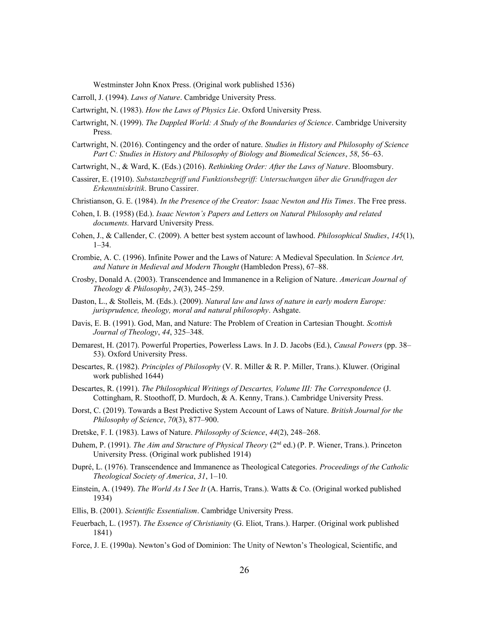Westminster John Knox Press. (Original work published 1536)

Carroll, J. (1994). *Laws of Nature*. Cambridge University Press.

Cartwright, N. (1983). *How the Laws of Physics Lie*. Oxford University Press.

- Cartwright, N. (1999). *The Dappled World: A Study of the Boundaries of Science*. Cambridge University Press.
- Cartwright, N. (2016). Contingency and the order of nature. *Studies in History and Philosophy of Science Part C: Studies in History and Philosophy of Biology and Biomedical Sciences*, *58*, 56–63.
- Cartwright, N., & Ward, K. (Eds.) (2016). *Rethinking Order: After the Laws of Nature*. Bloomsbury.
- Cassirer, E. (1910). *Substanzbegriff und Funktionsbegriff: Untersuchungen über die Grundfragen der Erkenntniskritik*. Bruno Cassirer.
- Christianson, G. E. (1984). *In the Presence of the Creator: Isaac Newton and His Times*. The Free press.
- Cohen, I. B. (1958) (Ed.). *Isaac Newton's Papers and Letters on Natural Philosophy and related documents.* Harvard University Press.
- Cohen, J., & Callender, C. (2009). A better best system account of lawhood. *Philosophical Studies*, *145*(1),  $1 - 34$ .
- Crombie, A. C. (1996). Infinite Power and the Laws of Nature: A Medieval Speculation. In *Science Art, and Nature in Medieval and Modern Thought* (Hambledon Press), 67–88.
- Crosby, Donald A. (2003). Transcendence and Immanence in a Religion of Nature. *American Journal of Theology & Philosophy*, *24*(3), 245–259.
- Daston, L., & Stolleis, M. (Eds.). (2009). *Natural law and laws of nature in early modern Europe: jurisprudence, theology, moral and natural philosophy*. Ashgate.
- Davis, E. B. (1991). God, Man, and Nature: The Problem of Creation in Cartesian Thought. *Scottish Journal of Theology*, *44*, 325–348.
- Demarest, H. (2017). Powerful Properties, Powerless Laws. In J. D. Jacobs (Ed.), *Causal Powers* (pp. 38– 53). Oxford University Press.
- Descartes, R. (1982). *Principles of Philosophy* (V. R. Miller & R. P. Miller, Trans.). Kluwer. (Original work published 1644)
- Descartes, R. (1991). *The Philosophical Writings of Descartes, Volume III: The Correspondence* (J. Cottingham, R. Stoothoff, D. Murdoch, & A. Kenny, Trans.). Cambridge University Press.
- Dorst, C. (2019). Towards a Best Predictive System Account of Laws of Nature. *British Journal for the Philosophy of Science*, *70*(3), 877–900.
- Dretske, F. I. (1983). Laws of Nature. *Philosophy of Science*, *44*(2), 248–268.
- Duhem, P. (1991). *The Aim and Structure of Physical Theory* (2<sup>nd</sup> ed.) (P. P. Wiener, Trans.). Princeton University Press. (Original work published 1914)
- Dupré, L. (1976). Transcendence and Immanence as Theological Categories. *Proceedings of the Catholic Theological Society of America*, *31*, 1–10.
- Einstein, A. (1949). *The World As I See It* (A. Harris, Trans.). Watts & Co. (Original worked published 1934)
- Ellis, B. (2001). *Scientific Essentialism*. Cambridge University Press.
- Feuerbach, L. (1957). *The Essence of Christianity* (G. Eliot, Trans.). Harper. (Original work published 1841)
- Force, J. E. (1990a). Newton's God of Dominion: The Unity of Newton's Theological, Scientific, and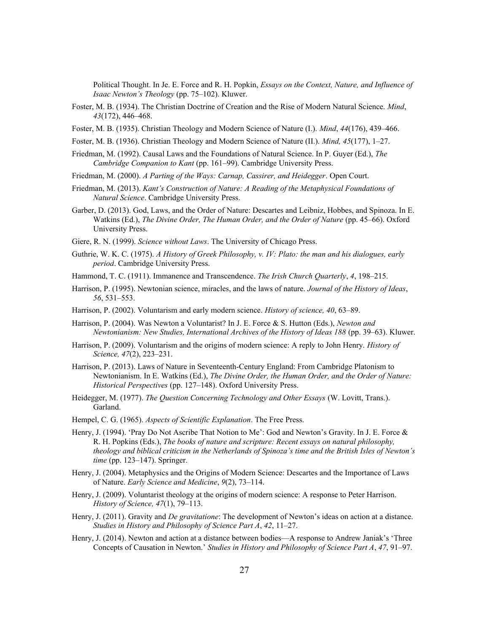Political Thought. In Je. E. Force and R. H. Popkin, *Essays on the Context, Nature, and Influence of Isaac Newton's Theology* (pp. 75–102). Kluwer.

- Foster, M. B. (1934). The Christian Doctrine of Creation and the Rise of Modern Natural Science. *Mind*, *43*(172), 446–468.
- Foster, M. B. (1935). Christian Theology and Modern Science of Nature (I.). *Mind*, *44*(176), 439–466.
- Foster, M. B. (1936). Christian Theology and Modern Science of Nature (II.). *Mind, 45*(177), 1–27.
- Friedman, M. (1992). Causal Laws and the Foundations of Natural Science. In P. Guyer (Ed.), *The Cambridge Companion to Kant* (pp. 161–99). Cambridge University Press.
- Friedman, M. (2000). *A Parting of the Ways: Carnap, Cassirer, and Heidegger*. Open Court.
- Friedman, M. (2013). *Kant's Construction of Nature: A Reading of the Metaphysical Foundations of Natural Science*. Cambridge University Press.
- Garber, D. (2013). God, Laws, and the Order of Nature: Descartes and Leibniz, Hobbes, and Spinoza. In E. Watkins (Ed.), *The Divine Order, The Human Order, and the Order of Nature* (pp. 45–66). Oxford University Press.
- Giere, R. N. (1999). *Science without Laws*. The University of Chicago Press.
- Guthrie, W. K. C. (1975). *A History of Greek Philosophy, v. IV: Plato: the man and his dialogues, early period*. Cambridge University Press.
- Hammond, T. C. (1911). Immanence and Transcendence. *The Irish Church Quarterly*, *4*, 198–215.
- Harrison, P. (1995). Newtonian science, miracles, and the laws of nature. *Journal of the History of Ideas*, *56*, 531–553.
- Harrison, P. (2002). Voluntarism and early modern science. *History of science, 40*, 63–89.
- Harrison, P. (2004). Was Newton a Voluntarist? In J. E. Force & S. Hutton (Eds.), *Newton and Newtonianism: New Studies, International Archives of the History of Ideas 188 (pp. 39–63). Kluwer.*
- Harrison, P. (2009). Voluntarism and the origins of modern science: A reply to John Henry. *History of Science, 47*(2), 223–231.
- Harrison, P. (2013). Laws of Nature in Seventeenth-Century England: From Cambridge Platonism to Newtonianism. In E. Watkins (Ed.), *The Divine Order, the Human Order, and the Order of Nature: Historical Perspectives* (pp. 127–148). Oxford University Press.
- Heidegger, M. (1977). *The Question Concerning Technology and Other Essays* (W. Lovitt, Trans.). Garland.
- Hempel, C. G. (1965). *Aspects of Scientific Explanation*. The Free Press.
- Henry, J. (1994). 'Pray Do Not Ascribe That Notion to Me': God and Newton's Gravity. In J. E. Force & R. H. Popkins (Eds.), *The books of nature and scripture: Recent essays on natural philosophy, theology and biblical criticism in the Netherlands of Spinoza's time and the British Isles of Newton's time* (pp. 123–147). Springer.
- Henry, J. (2004). Metaphysics and the Origins of Modern Science: Descartes and the Importance of Laws of Nature. *Early Science and Medicine*, *9*(2), 73–114.
- Henry, J. (2009). Voluntarist theology at the origins of modern science: A response to Peter Harrison. *History of Science, 47*(1), 79–113.
- Henry, J. (2011). Gravity and *De gravitatione*: The development of Newton's ideas on action at a distance. *Studies in History and Philosophy of Science Part A*, *42*, 11–27.
- Henry, J. (2014). Newton and action at a distance between bodies—A response to Andrew Janiak's 'Three Concepts of Causation in Newton.' *Studies in History and Philosophy of Science Part A*, *47*, 91–97.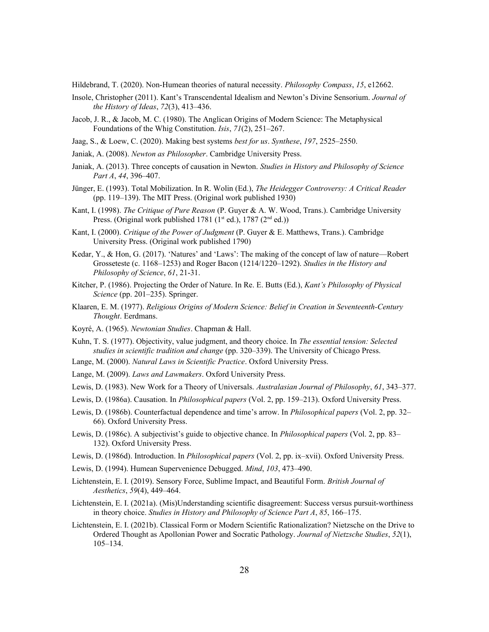Hildebrand, T. (2020). Non-Humean theories of natural necessity. *Philosophy Compass*, *15*, e12662.

- Insole, Christopher (2011). Kant's Transcendental Idealism and Newton's Divine Sensorium. *Journal of the History of Ideas*, *72*(3), 413–436.
- Jacob, J. R., & Jacob, M. C. (1980). The Anglican Origins of Modern Science: The Metaphysical Foundations of the Whig Constitution. *Isis*, *71*(2), 251–267.
- Jaag, S., & Loew, C. (2020). Making best systems *best for us*. *Synthese*, *197*, 2525–2550.
- Janiak, A. (2008). *Newton as Philosopher*. Cambridge University Press.
- Janiak, A. (2013). Three concepts of causation in Newton. *Studies in History and Philosophy of Science Part A*, *44*, 396–407.
- Jünger, E. (1993). Total Mobilization. In R. Wolin (Ed.), *The Heidegger Controversy: A Critical Reader*  (pp. 119–139). The MIT Press. (Original work published 1930)
- Kant, I. (1998). *The Critique of Pure Reason* (P. Guyer & A. W. Wood, Trans.). Cambridge University Press. (Original work published 1781 (1<sup>st</sup> ed.), 1787 (2<sup>nd</sup> ed.))
- Kant, I. (2000). *Critique of the Power of Judgment* (P. Guyer & E. Matthews, Trans.). Cambridge University Press. (Original work published 1790)
- Kedar, Y., & Hon, G. (2017). 'Natures' and 'Laws': The making of the concept of law of nature—Robert Grosseteste (c. 1168–1253) and Roger Bacon (1214/1220–1292). *Studies in the History and Philosophy of Science*, *61*, 21-31.
- Kitcher, P. (1986). Projecting the Order of Nature. In Re. E. Butts (Ed.), *Kant's Philosophy of Physical Science* (pp. 201–235). Springer.
- Klaaren, E. M. (1977). *Religious Origins of Modern Science: Belief in Creation in Seventeenth-Century Thought*. Eerdmans.
- Koyré, A. (1965). *Newtonian Studies*. Chapman & Hall.
- Kuhn, T. S. (1977). Objectivity, value judgment, and theory choice. In *The essential tension: Selected studies in scientific tradition and change* (pp. 320–339). The University of Chicago Press.
- Lange, M. (2000). *Natural Laws in Scientific Practice*. Oxford University Press.
- Lange, M. (2009). *Laws and Lawmakers*. Oxford University Press.
- Lewis, D. (1983). New Work for a Theory of Universals. *Australasian Journal of Philosophy*, *61*, 343–377.
- Lewis, D. (1986a). Causation. In *Philosophical papers* (Vol. 2, pp. 159–213). Oxford University Press.
- Lewis, D. (1986b). Counterfactual dependence and time's arrow. In *Philosophical papers* (Vol. 2, pp. 32– 66). Oxford University Press.
- Lewis, D. (1986c). A subjectivist's guide to objective chance. In *Philosophical papers* (Vol. 2, pp. 83– 132). Oxford University Press.
- Lewis, D. (1986d). Introduction. In *Philosophical papers* (Vol. 2, pp. ix–xvii). Oxford University Press.
- Lewis, D. (1994). Humean Supervenience Debugged. *Mind*, *103*, 473–490.
- Lichtenstein, E. I. (2019). Sensory Force, Sublime Impact, and Beautiful Form. *British Journal of Aesthetics*, *59*(4), 449–464.
- Lichtenstein, E. I. (2021a). (Mis)Understanding scientific disagreement: Success versus pursuit-worthiness in theory choice. *Studies in History and Philosophy of Science Part A*, *85*, 166–175.
- Lichtenstein, E. I. (2021b). Classical Form or Modern Scientific Rationalization? Nietzsche on the Drive to Ordered Thought as Apollonian Power and Socratic Pathology. *Journal of Nietzsche Studies*, *52*(1), 105–134.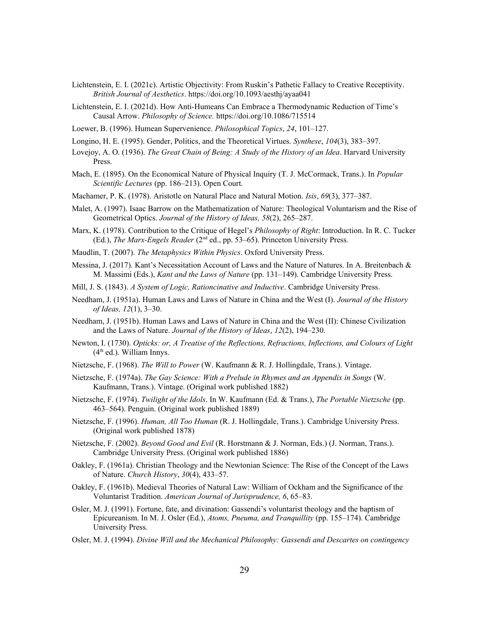- Lichtenstein, E. I. (2021c). Artistic Objectivity: From Ruskin's Pathetic Fallacy to Creative Receptivity. *British Journal of Aesthetics*.<https://doi.org/10.1093/aesthj/ayaa041>
- Lichtenstein, E. I. (2021d). How Anti-Humeans Can Embrace a Thermodynamic Reduction of Time's Causal Arrow. *Philosophy of Science.* <https://doi.org/10.1086/715514>
- Loewer, B. (1996). Humean Supervenience. *Philosophical Topics*, *24*, 101–127.
- Longino, H. E. (1995). Gender, Politics, and the Theoretical Virtues. *Synthese*, *104*(3), 383–397.
- Lovejoy, A. O. (1936). *The Great Chain of Being: A Study of the History of an Idea*. Harvard University Press.
- Mach, E. (1895). On the Economical Nature of Physical Inquiry (T. J. McCormack, Trans.). In *Popular Scientific Lectures* (pp. 186–213). Open Court.
- Machamer, P. K. (1978). Aristotle on Natural Place and Natural Motion. *Isis*, *69*(3), 377–387.
- Malet, A. (1997). Isaac Barrow on the Mathematization of Nature: Theological Voluntarism and the Rise of Geometrical Optics. *Journal of the History of Ideas, 58*(2), 265–287.
- Marx, K. (1978). Contribution to the Critique of Hegel's *Philosophy of Right*: Introduction. In R. C. Tucker (Ed.), *The Marx-Engels Reader* (2nd ed., pp. 53–65). Princeton University Press.
- Maudlin, T. (2007). *The Metaphysics Within Physics*. Oxford University Press.
- Messina, J. (2017). Kant's Necessitation Account of Laws and the Nature of Natures. In A. Breitenbach & M. Massimi (Eds.), *Kant and the Laws of Nature* (pp. 131–149). Cambridge University Press.
- Mill, J. S. (1843). *A System of Logic, Rationcinative and Inductive*. Cambridge University Press.
- Needham, J. (1951a). Human Laws and Laws of Nature in China and the West (I). *Journal of the History of Ideas, 12*(1), 3–30.
- Needham, J. (1951b). Human Laws and Laws of Nature in China and the West (II): Chinese Civilization and the Laws of Nature. *Journal of the History of Ideas*, *12*(2), 194–230.
- Newton, I. (1730). *Opticks: or, A Treatise of the Reflections, Refractions, Inflections, and Colours of Light*   $(4<sup>th</sup>$  ed.). William Innys.
- Nietzsche, F. (1968). *The Will to Power* (W. Kaufmann & R. J. Hollingdale, Trans.). Vintage.
- Nietzsche, F. (1974a). *The Gay Science: With a Prelude in Rhymes and an Appendix in Songs* (W. Kaufmann, Trans.). Vintage. (Original work published 1882)
- Nietzsche, F. (1974). *Twilight of the Idols*. In W. Kaufmann (Ed. & Trans.), *The Portable Nietzsche* (pp. 463–564). Penguin. (Original work published 1889)
- Nietzsche, F. (1996). *Human, All Too Human* (R. J. Hollingdale, Trans.). Cambridge University Press. (Original work published 1878)
- Nietzsche, F. (2002). *Beyond Good and Evil* (R. Horstmann & J. Norman, Eds.) (J. Norman, Trans.). Cambridge University Press. (Original work published 1886)
- Oakley, F. (1961a). Christian Theology and the Newtonian Science: The Rise of the Concept of the Laws of Nature. *Church History*, *30*(4), 433–57.
- Oakley, F. (1961b). Medieval Theories of Natural Law: William of Ockham and the Significance of the Voluntarist Tradition. *American Journal of Jurisprudence, 6*, 65–83.
- Osler, M. J. (1991). Fortune, fate, and divination: Gassendi's voluntarist theology and the baptism of Epicureanism. In M. J. Osler (Ed.), *Atoms, Pneuma, and Tranquillity* (pp. 155–174). Cambridge University Press.
- Osler, M. J. (1994). *Divine Will and the Mechanical Philosophy: Gassendi and Descartes on contingency*